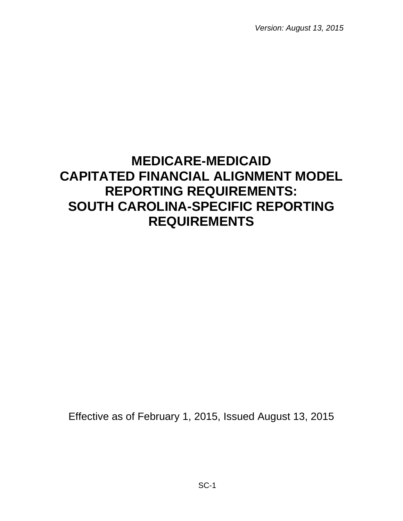*Version: August 13, 2015*

# **MEDICARE-MEDICAID CAPITATED FINANCIAL ALIGNMENT MODEL REPORTING REQUIREMENTS: SOUTH CAROLINA-SPECIFIC REPORTING REQUIREMENTS**

Effective as of February 1, 2015, Issued August 13, 2015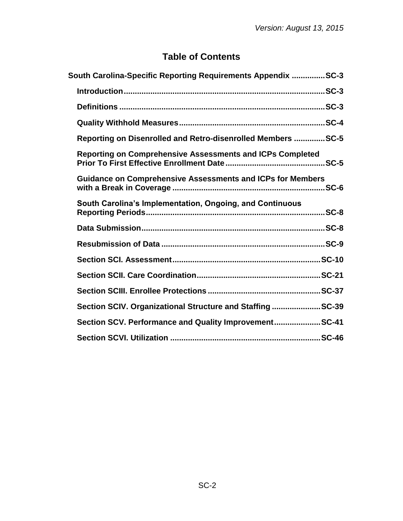# **Table of Contents**

| South Carolina-Specific Reporting Requirements Appendix SC-3      |
|-------------------------------------------------------------------|
|                                                                   |
|                                                                   |
|                                                                   |
| Reporting on Disenrolled and Retro-disenrolled Members SC-5       |
| <b>Reporting on Comprehensive Assessments and ICPs Completed</b>  |
| <b>Guidance on Comprehensive Assessments and ICPs for Members</b> |
| South Carolina's Implementation, Ongoing, and Continuous          |
|                                                                   |
|                                                                   |
|                                                                   |
|                                                                   |
|                                                                   |
| Section SCIV. Organizational Structure and Staffing SC-39         |
| Section SCV. Performance and Quality ImprovementSC-41             |
|                                                                   |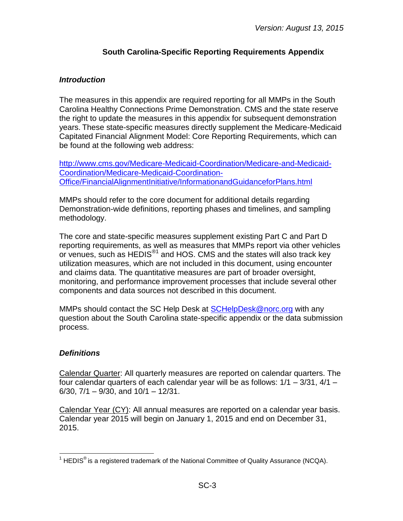#### **South Carolina-Specific Reporting Requirements Appendix**

#### <span id="page-2-1"></span><span id="page-2-0"></span>*Introduction*

The measures in this appendix are required reporting for all MMPs in the South Carolina Healthy Connections Prime Demonstration. CMS and the state reserve the right to update the measures in this appendix for subsequent demonstration years. These state-specific measures directly supplement the Medicare-Medicaid Capitated Financial Alignment Model: Core Reporting Requirements, which can be found at the following web address:

[http://www.cms.gov/Medicare-Medicaid-Coordination/Medicare-and-Medicaid-](http://www.cms.gov/Medicare-Medicaid-Coordination/Medicare-and-Medicaid-Coordination/Medicare-Medicaid-Coordination-Office/FinancialAlignmentInitiative/InformationandGuidanceforPlans.html)[Coordination/Medicare-Medicaid-Coordination-](http://www.cms.gov/Medicare-Medicaid-Coordination/Medicare-and-Medicaid-Coordination/Medicare-Medicaid-Coordination-Office/FinancialAlignmentInitiative/InformationandGuidanceforPlans.html)[Office/FinancialAlignmentInitiative/InformationandGuidanceforPlans.html](http://www.cms.gov/Medicare-Medicaid-Coordination/Medicare-and-Medicaid-Coordination/Medicare-Medicaid-Coordination-Office/FinancialAlignmentInitiative/InformationandGuidanceforPlans.html)

MMPs should refer to the core document for additional details regarding Demonstration-wide definitions, reporting phases and timelines, and sampling methodology.

The core and state-specific measures supplement existing Part C and Part D reporting requirements, as well as measures that MMPs report via other vehicles or venues, such as  $HEDIS<sup>®1</sup>$  and HOS. CMS and the states will also track key utilization measures, which are not included in this document, using encounter and claims data. The quantitative measures are part of broader oversight, monitoring, and performance improvement processes that include several other components and data sources not described in this document.

MMPs should contact the SC Help Desk at **SCHelpDesk@norc.org** with any question about the South Carolina state-specific appendix or the data submission process.

#### <span id="page-2-2"></span>*Definitions*

Calendar Quarter: All quarterly measures are reported on calendar quarters. The four calendar quarters of each calendar year will be as follows: 1/1 – 3/31, 4/1 – 6/30, 7/1 – 9/30, and 10/1 – 12/31.

Calendar Year (CY): All annual measures are reported on a calendar year basis. Calendar year 2015 will begin on January 1, 2015 and end on December 31, 2015.

 $\overline{a}$ <sup>1</sup> HEDIS<sup>®</sup> is a registered trademark of the National Committee of Quality Assurance (NCQA).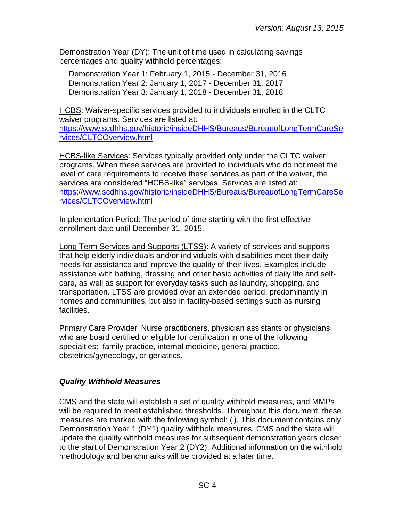Demonstration Year (DY): The unit of time used in calculating savings percentages and quality withhold percentages:

Demonstration Year 1: February 1, 2015 - December 31, 2016 Demonstration Year 2: January 1, 2017 - December 31, 2017 Demonstration Year 3: January 1, 2018 - December 31, 2018

HCBS: Waiver-specific services provided to individuals enrolled in the CLTC waiver programs. Services are listed at: [https://www.scdhhs.gov/historic/insideDHHS/Bureaus/BureauofLongTermCareSe](https://www.scdhhs.gov/historic/insideDHHS/Bureaus/BureauofLongTermCareServices/CLTCOverview.html) [rvices/CLTCOverview.html](https://www.scdhhs.gov/historic/insideDHHS/Bureaus/BureauofLongTermCareServices/CLTCOverview.html)

HCBS-like Services: Services typically provided only under the CLTC waiver programs. When these services are provided to individuals who do not meet the level of care requirements to receive these services as part of the waiver, the services are considered "HCBS-like" services. Services are listed at: [https://www.scdhhs.gov/historic/insideDHHS/Bureaus/BureauofLongTermCareSe](https://www.scdhhs.gov/historic/insideDHHS/Bureaus/BureauofLongTermCareServices/CLTCOverview.html) [rvices/CLTCOverview.html](https://www.scdhhs.gov/historic/insideDHHS/Bureaus/BureauofLongTermCareServices/CLTCOverview.html)

Implementation Period: The period of time starting with the first effective enrollment date until December 31, 2015.

Long Term Services and Supports (LTSS): A variety of services and supports that help elderly individuals and/or individuals with disabilities meet their daily needs for assistance and improve the quality of their lives. Examples include assistance with bathing, dressing and other basic activities of daily life and selfcare, as well as support for everyday tasks such as laundry, shopping, and transportation. LTSS are provided over an extended period, predominantly in homes and communities, but also in facility-based settings such as nursing facilities.

Primary Care Provider: Nurse practitioners, physician assistants or physicians who are board certified or eligible for certification in one of the following specialties: family practice, internal medicine, general practice, obstetrics/gynecology, or geriatrics.

# <span id="page-3-0"></span>*Quality Withhold Measures*

CMS and the state will establish a set of quality withhold measures, and MMPs will be required to meet established thresholds. Throughout this document, these measures are marked with the following symbol:  $(')$ . This document contains only Demonstration Year 1 (DY1) quality withhold measures. CMS and the state will update the quality withhold measures for subsequent demonstration years closer to the start of Demonstration Year 2 (DY2). Additional information on the withhold methodology and benchmarks will be provided at a later time.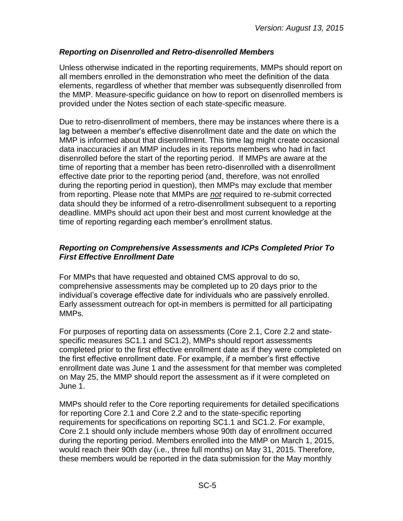# <span id="page-4-0"></span>*Reporting on Disenrolled and Retro-disenrolled Members*

Unless otherwise indicated in the reporting requirements, MMPs should report on all members enrolled in the demonstration who meet the definition of the data elements, regardless of whether that member was subsequently disenrolled from the MMP. Measure-specific guidance on how to report on disenrolled members is provided under the Notes section of each state-specific measure.

Due to retro-disenrollment of members, there may be instances where there is a lag between a member's effective disenrollment date and the date on which the MMP is informed about that disenrollment. This time lag might create occasional data inaccuracies if an MMP includes in its reports members who had in fact disenrolled before the start of the reporting period. If MMPs are aware at the time of reporting that a member has been retro-disenrolled with a disenrollment effective date prior to the reporting period (and, therefore, was not enrolled during the reporting period in question), then MMPs may exclude that member from reporting. Please note that MMPs are *not* required to re-submit corrected data should they be informed of a retro-disenrollment subsequent to a reporting deadline. MMPs should act upon their best and most current knowledge at the time of reporting regarding each member's enrollment status.

#### <span id="page-4-1"></span>*Reporting on Comprehensive Assessments and ICPs Completed Prior To First Effective Enrollment Date*

For MMPs that have requested and obtained CMS approval to do so, comprehensive assessments may be completed up to 20 days prior to the individual's coverage effective date for individuals who are passively enrolled. Early assessment outreach for opt-in members is permitted for all participating MMPs.

For purposes of reporting data on assessments (Core 2.1, Core 2.2 and statespecific measures SC1.1 and SC1.2), MMPs should report assessments completed prior to the first effective enrollment date as if they were completed on the first effective enrollment date. For example, if a member's first effective enrollment date was June 1 and the assessment for that member was completed on May 25, the MMP should report the assessment as if it were completed on June 1.

MMPs should refer to the Core reporting requirements for detailed specifications for reporting Core 2.1 and Core 2.2 and to the state-specific reporting requirements for specifications on reporting SC1.1 and SC1.2. For example, Core 2.1 should only include members whose 90th day of enrollment occurred during the reporting period. Members enrolled into the MMP on March 1, 2015, would reach their 90th day (i.e., three full months) on May 31, 2015. Therefore, these members would be reported in the data submission for the May monthly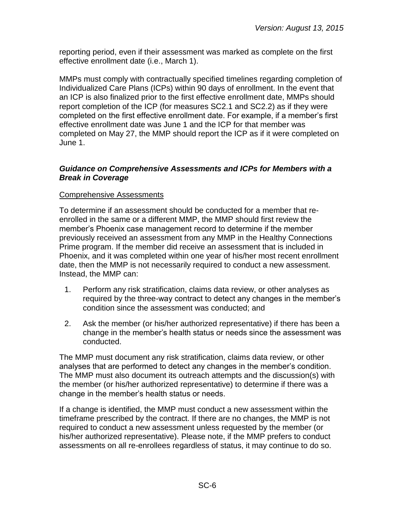reporting period, even if their assessment was marked as complete on the first effective enrollment date (i.e., March 1).

MMPs must comply with contractually specified timelines regarding completion of Individualized Care Plans (ICPs) within 90 days of enrollment. In the event that an ICP is also finalized prior to the first effective enrollment date, MMPs should report completion of the ICP (for measures SC2.1 and SC2.2) as if they were completed on the first effective enrollment date. For example, if a member's first effective enrollment date was June 1 and the ICP for that member was completed on May 27, the MMP should report the ICP as if it were completed on June 1.

#### <span id="page-5-0"></span>*Guidance on Comprehensive Assessments and ICPs for Members with a Break in Coverage*

#### Comprehensive Assessments

To determine if an assessment should be conducted for a member that reenrolled in the same or a different MMP, the MMP should first review the member's Phoenix case management record to determine if the member previously received an assessment from any MMP in the Healthy Connections Prime program. If the member did receive an assessment that is included in Phoenix, and it was completed within one year of his/her most recent enrollment date, then the MMP is not necessarily required to conduct a new assessment. Instead, the MMP can:

- 1. Perform any risk stratification, claims data review, or other analyses as required by the three-way contract to detect any changes in the member's condition since the assessment was conducted; and
- 2. Ask the member (or his/her authorized representative) if there has been a change in the member's health status or needs since the assessment was conducted.

The MMP must document any risk stratification, claims data review, or other analyses that are performed to detect any changes in the member's condition. The MMP must also document its outreach attempts and the discussion(s) with the member (or his/her authorized representative) to determine if there was a change in the member's health status or needs.

If a change is identified, the MMP must conduct a new assessment within the timeframe prescribed by the contract. If there are no changes, the MMP is not required to conduct a new assessment unless requested by the member (or his/her authorized representative). Please note, if the MMP prefers to conduct assessments on all re-enrollees regardless of status, it may continue to do so.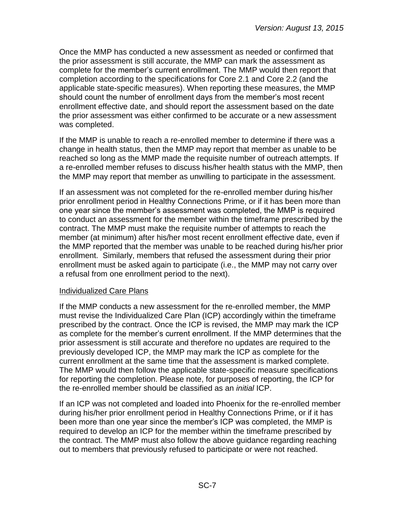Once the MMP has conducted a new assessment as needed or confirmed that the prior assessment is still accurate, the MMP can mark the assessment as complete for the member's current enrollment. The MMP would then report that completion according to the specifications for Core 2.1 and Core 2.2 (and the applicable state-specific measures). When reporting these measures, the MMP should count the number of enrollment days from the member's most recent enrollment effective date, and should report the assessment based on the date the prior assessment was either confirmed to be accurate or a new assessment was completed.

If the MMP is unable to reach a re-enrolled member to determine if there was a change in health status, then the MMP may report that member as unable to be reached so long as the MMP made the requisite number of outreach attempts. If a re-enrolled member refuses to discuss his/her health status with the MMP, then the MMP may report that member as unwilling to participate in the assessment.

If an assessment was not completed for the re-enrolled member during his/her prior enrollment period in Healthy Connections Prime, or if it has been more than one year since the member's assessment was completed, the MMP is required to conduct an assessment for the member within the timeframe prescribed by the contract. The MMP must make the requisite number of attempts to reach the member (at minimum) after his/her most recent enrollment effective date, even if the MMP reported that the member was unable to be reached during his/her prior enrollment. Similarly, members that refused the assessment during their prior enrollment must be asked again to participate (i.e., the MMP may not carry over a refusal from one enrollment period to the next).

#### Individualized Care Plans

If the MMP conducts a new assessment for the re-enrolled member, the MMP must revise the Individualized Care Plan (ICP) accordingly within the timeframe prescribed by the contract. Once the ICP is revised, the MMP may mark the ICP as complete for the member's current enrollment. If the MMP determines that the prior assessment is still accurate and therefore no updates are required to the previously developed ICP, the MMP may mark the ICP as complete for the current enrollment at the same time that the assessment is marked complete. The MMP would then follow the applicable state-specific measure specifications for reporting the completion. Please note, for purposes of reporting, the ICP for the re-enrolled member should be classified as an *initial* ICP.

If an ICP was not completed and loaded into Phoenix for the re-enrolled member during his/her prior enrollment period in Healthy Connections Prime, or if it has been more than one year since the member's ICP was completed, the MMP is required to develop an ICP for the member within the timeframe prescribed by the contract. The MMP must also follow the above guidance regarding reaching out to members that previously refused to participate or were not reached.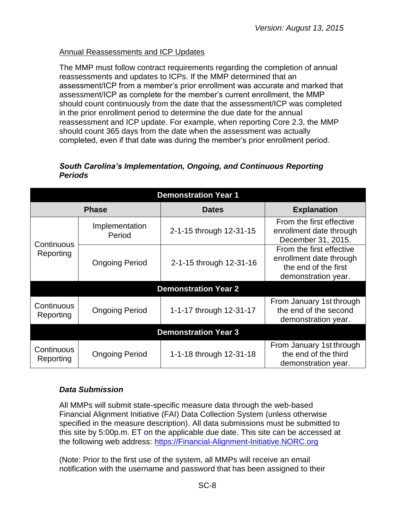#### Annual Reassessments and ICP Updates

The MMP must follow contract requirements regarding the completion of annual reassessments and updates to ICPs. If the MMP determined that an assessment/ICP from a member's prior enrollment was accurate and marked that assessment/ICP as complete for the member's current enrollment, the MMP should count continuously from the date that the assessment/ICP was completed in the prior enrollment period to determine the due date for the annual reassessment and ICP update. For example, when reporting Core 2.3, the MMP should count 365 days from the date when the assessment was actually completed, even if that date was during the member's prior enrollment period.

#### <span id="page-7-0"></span>*South Carolina's Implementation, Ongoing, and Continuous Reporting Periods*

| <b>Demonstration Year 1</b> |                          |                             |                                                                                                    |  |
|-----------------------------|--------------------------|-----------------------------|----------------------------------------------------------------------------------------------------|--|
|                             | <b>Phase</b>             | <b>Dates</b>                | <b>Explanation</b>                                                                                 |  |
|                             | Implementation<br>Period | 2-1-15 through 12-31-15     | From the first effective<br>enrollment date through<br>December 31, 2015.                          |  |
| Continuous<br>Reporting     | <b>Ongoing Period</b>    | 2-1-15 through 12-31-16     | From the first effective<br>enrollment date through<br>the end of the first<br>demonstration year. |  |
|                             |                          | <b>Demonstration Year 2</b> |                                                                                                    |  |
| Continuous<br>Reporting     | <b>Ongoing Period</b>    | 1-1-17 through 12-31-17     | From January 1st through<br>the end of the second<br>demonstration year.                           |  |
| <b>Demonstration Year 3</b> |                          |                             |                                                                                                    |  |
| Continuous<br>Reporting     | <b>Ongoing Period</b>    | 1-1-18 through 12-31-18     | From January 1st through<br>the end of the third<br>demonstration year.                            |  |

# <span id="page-7-1"></span>*Data Submission*

All MMPs will submit state-specific measure data through the web-based Financial Alignment Initiative (FAI) Data Collection System (unless otherwise specified in the measure description). All data submissions must be submitted to this site by 5:00p.m. ET on the applicable due date. This site can be accessed at the following web address: [https://Financial-Alignment-Initiative.NORC.org](https://financial-alignment-initiative.norc.org/) 

(Note: Prior to the first use of the system, all MMPs will receive an email notification with the username and password that has been assigned to their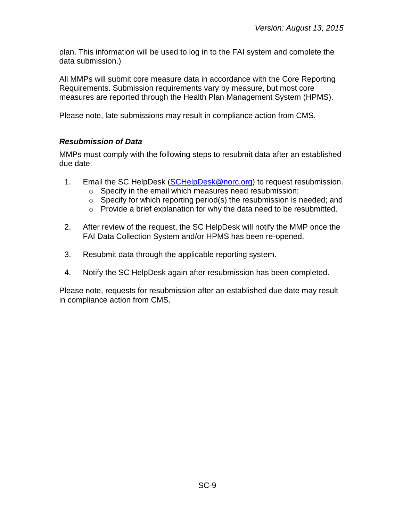plan. This information will be used to log in to the FAI system and complete the data submission.)

All MMPs will submit core measure data in accordance with the Core Reporting Requirements. Submission requirements vary by measure, but most core measures are reported through the Health Plan Management System (HPMS).

Please note, late submissions may result in compliance action from CMS.

# <span id="page-8-0"></span>*Resubmission of Data*

MMPs must comply with the following steps to resubmit data after an established due date:

- 1. Email the SC HelpDesk [\(SCHelpDesk@norc.org\)](mailto:SCHelpDesk@norc.org) to request resubmission.
	- o Specify in the email which measures need resubmission;
	- $\circ$  Specify for which reporting period(s) the resubmission is needed; and
	- o Provide a brief explanation for why the data need to be resubmitted.
- 2. After review of the request, the SC HelpDesk will notify the MMP once the FAI Data Collection System and/or HPMS has been re-opened.
- 3. Resubmit data through the applicable reporting system.
- 4. Notify the SC HelpDesk again after resubmission has been completed.

Please note, requests for resubmission after an established due date may result in compliance action from CMS.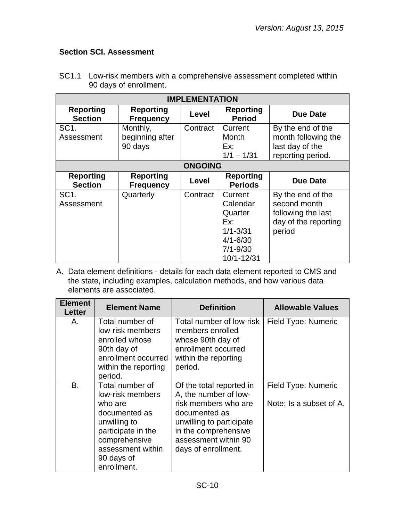# <span id="page-9-0"></span>**Section SCI. Assessment**

| <b>IMPLEMENTATION</b>              |                                        |                |                                                                                                     |                                                                                           |
|------------------------------------|----------------------------------------|----------------|-----------------------------------------------------------------------------------------------------|-------------------------------------------------------------------------------------------|
| <b>Reporting</b><br><b>Section</b> | <b>Reporting</b><br><b>Frequency</b>   | Level          | <b>Reporting</b><br><b>Period</b>                                                                   | <b>Due Date</b>                                                                           |
| SC <sub>1</sub> .<br>Assessment    | Monthly,<br>beginning after<br>90 days | Contract       | Current<br>Month<br>Ex:<br>$1/1 - 1/31$                                                             | By the end of the<br>month following the<br>last day of the<br>reporting period.          |
|                                    |                                        | <b>ONGOING</b> |                                                                                                     |                                                                                           |
| <b>Reporting</b><br><b>Section</b> | <b>Reporting</b><br><b>Frequency</b>   | Level          | <b>Reporting</b><br><b>Periods</b>                                                                  | <b>Due Date</b>                                                                           |
| SC <sub>1</sub> .<br>Assessment    | Quarterly                              | Contract       | Current<br>Calendar<br>Quarter<br>Ex:<br>$1/1 - 3/31$<br>$4/1 - 6/30$<br>$7/1 - 9/30$<br>10/1-12/31 | By the end of the<br>second month<br>following the last<br>day of the reporting<br>period |

SC1.1 Low-risk members with a comprehensive assessment completed within 90 days of enrollment.

| <b>Element</b><br>Letter | <b>Element Name</b>                                                                                                                                                      | <b>Definition</b>                                                                                                                                                                             | <b>Allowable Values</b>                        |
|--------------------------|--------------------------------------------------------------------------------------------------------------------------------------------------------------------------|-----------------------------------------------------------------------------------------------------------------------------------------------------------------------------------------------|------------------------------------------------|
| Α.                       | Total number of<br>low-risk members<br>enrolled whose<br>90th day of<br>enrollment occurred<br>within the reporting<br>period.                                           | Total number of low-risk<br>members enrolled<br>whose 90th day of<br>enrollment occurred<br>within the reporting<br>period.                                                                   | Field Type: Numeric                            |
| <b>B.</b>                | Total number of<br>low-risk members<br>who are<br>documented as<br>unwilling to<br>participate in the<br>comprehensive<br>assessment within<br>90 days of<br>enrollment. | Of the total reported in<br>A, the number of low-<br>risk members who are<br>documented as<br>unwilling to participate<br>in the comprehensive<br>assessment within 90<br>days of enrollment. | Field Type: Numeric<br>Note: Is a subset of A. |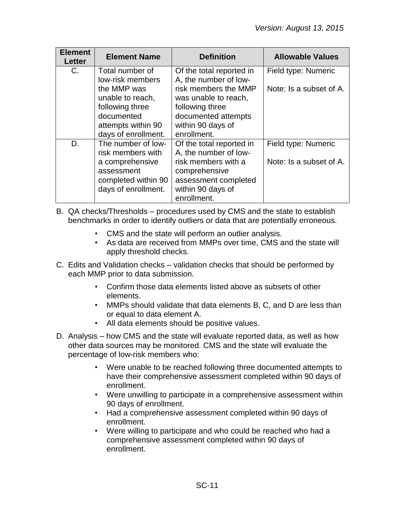| <b>Element</b><br>Letter | <b>Element Name</b>                                                                                                    | <b>Definition</b>                                                                                                                                     | <b>Allowable Values</b>                        |
|--------------------------|------------------------------------------------------------------------------------------------------------------------|-------------------------------------------------------------------------------------------------------------------------------------------------------|------------------------------------------------|
| $C_{\cdot}$              | Total number of<br>low-risk members<br>the MMP was<br>unable to reach,<br>following three<br>documented                | Of the total reported in<br>A, the number of low-<br>risk members the MMP<br>was unable to reach,<br>following three<br>documented attempts           | Field type: Numeric<br>Note: Is a subset of A. |
|                          | attempts within 90<br>days of enrollment.                                                                              | within 90 days of<br>enrollment.                                                                                                                      |                                                |
| D.                       | The number of low-<br>risk members with<br>a comprehensive<br>assessment<br>completed within 90<br>days of enrollment. | Of the total reported in<br>A, the number of low-<br>risk members with a<br>comprehensive<br>assessment completed<br>within 90 days of<br>enrollment. | Field type: Numeric<br>Note: Is a subset of A. |

- B. QA checks/Thresholds procedures used by CMS and the state to establish benchmarks in order to identify outliers or data that are potentially erroneous.
	- CMS and the state will perform an outlier analysis.
	- As data are received from MMPs over time, CMS and the state will apply threshold checks.
- C. Edits and Validation checks validation checks that should be performed by each MMP prior to data submission.
	- Confirm those data elements listed above as subsets of other elements.
	- MMPs should validate that data elements B, C, and D are less than or equal to data element A.
	- All data elements should be positive values.
- D. Analysis how CMS and the state will evaluate reported data, as well as how other data sources may be monitored. CMS and the state will evaluate the percentage of low-risk members who:
	- Were unable to be reached following three documented attempts to have their comprehensive assessment completed within 90 days of enrollment.
	- Were unwilling to participate in a comprehensive assessment within 90 days of enrollment.
	- Had a comprehensive assessment completed within 90 days of enrollment.
	- Were willing to participate and who could be reached who had a comprehensive assessment completed within 90 days of enrollment.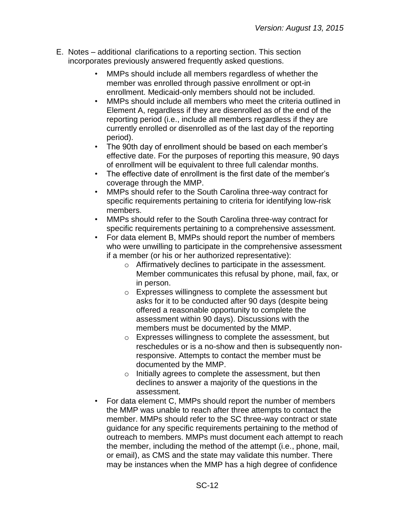- E. Notes additional clarifications to a reporting section. This section incorporates previously answered frequently asked questions.
	- MMPs should include all members regardless of whether the member was enrolled through passive enrollment or opt-in enrollment. Medicaid-only members should not be included.
	- MMPs should include all members who meet the criteria outlined in Element A, regardless if they are disenrolled as of the end of the reporting period (i.e., include all members regardless if they are currently enrolled or disenrolled as of the last day of the reporting period).
	- The 90th day of enrollment should be based on each member's effective date. For the purposes of reporting this measure, 90 days of enrollment will be equivalent to three full calendar months.
	- The effective date of enrollment is the first date of the member's coverage through the MMP.
	- MMPs should refer to the South Carolina three-way contract for specific requirements pertaining to criteria for identifying low-risk members.
	- MMPs should refer to the South Carolina three-way contract for specific requirements pertaining to a comprehensive assessment.
	- For data element B, MMPs should report the number of members who were unwilling to participate in the comprehensive assessment if a member (or his or her authorized representative):
		- o Affirmatively declines to participate in the assessment. Member communicates this refusal by phone, mail, fax, or in person.
		- o Expresses willingness to complete the assessment but asks for it to be conducted after 90 days (despite being offered a reasonable opportunity to complete the assessment within 90 days). Discussions with the members must be documented by the MMP.
		- o Expresses willingness to complete the assessment, but reschedules or is a no-show and then is subsequently nonresponsive. Attempts to contact the member must be documented by the MMP.
		- o Initially agrees to complete the assessment, but then declines to answer a majority of the questions in the assessment.
	- For data element C, MMPs should report the number of members the MMP was unable to reach after three attempts to contact the member. MMPs should refer to the SC three-way contract or state guidance for any specific requirements pertaining to the method of outreach to members. MMPs must document each attempt to reach the member, including the method of the attempt (i.e., phone, mail, or email), as CMS and the state may validate this number. There may be instances when the MMP has a high degree of confidence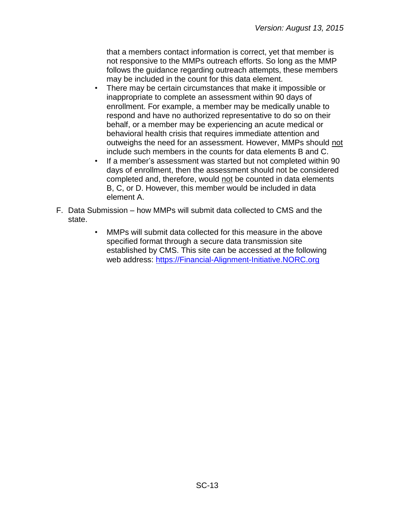that a members contact information is correct, yet that member is not responsive to the MMPs outreach efforts. So long as the MMP follows the guidance regarding outreach attempts, these members may be included in the count for this data element.

- There may be certain circumstances that make it impossible or inappropriate to complete an assessment within 90 days of enrollment. For example, a member may be medically unable to respond and have no authorized representative to do so on their behalf, or a member may be experiencing an acute medical or behavioral health crisis that requires immediate attention and outweighs the need for an assessment. However, MMPs should not include such members in the counts for data elements B and C.
- If a member's assessment was started but not completed within 90 days of enrollment, then the assessment should not be considered completed and, therefore, would not be counted in data elements B, C, or D. However, this member would be included in data element A.
- F. Data Submission how MMPs will submit data collected to CMS and the state.
	- MMPs will submit data collected for this measure in the above specified format through a secure data transmission site established by CMS. This site can be accessed at the following web address: [https://Financial-Alignment-Initiative.NORC.org](https://financial-alignment-initiative.norc.org/)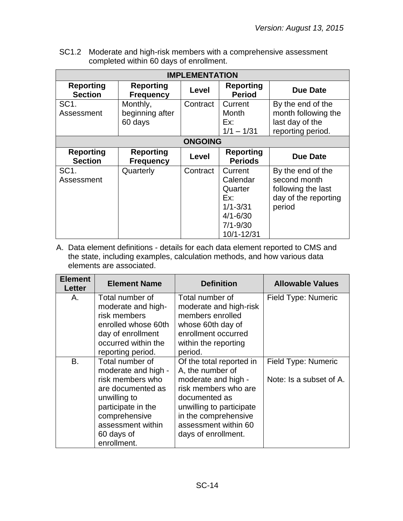SC1.2 Moderate and high-risk members with a comprehensive assessment completed within 60 days of enrollment.

| <b>IMPLEMENTATION</b>              |                                        |                |                                                                                                     |                                                                                           |
|------------------------------------|----------------------------------------|----------------|-----------------------------------------------------------------------------------------------------|-------------------------------------------------------------------------------------------|
| <b>Reporting</b><br><b>Section</b> | <b>Reporting</b><br><b>Frequency</b>   | Level          | <b>Reporting</b><br><b>Period</b>                                                                   | <b>Due Date</b>                                                                           |
| SC <sub>1</sub> .<br>Assessment    | Monthly,<br>beginning after<br>60 days | Contract       | Current<br>Month<br>Ex:<br>$1/1 - 1/31$                                                             | By the end of the<br>month following the<br>last day of the<br>reporting period.          |
|                                    |                                        | <b>ONGOING</b> |                                                                                                     |                                                                                           |
| <b>Reporting</b><br><b>Section</b> | <b>Reporting</b><br><b>Frequency</b>   | Level          | <b>Reporting</b><br><b>Periods</b>                                                                  | <b>Due Date</b>                                                                           |
| SC <sub>1</sub> .<br>Assessment    | Quarterly                              | Contract       | Current<br>Calendar<br>Quarter<br>Ex:<br>$1/1 - 3/31$<br>$4/1 - 6/30$<br>$7/1 - 9/30$<br>10/1-12/31 | By the end of the<br>second month<br>following the last<br>day of the reporting<br>period |

| <b>Element</b><br>Letter | <b>Element Name</b>                                                                                                                            | <b>Definition</b>                                                                                                                                               | <b>Allowable Values</b> |
|--------------------------|------------------------------------------------------------------------------------------------------------------------------------------------|-----------------------------------------------------------------------------------------------------------------------------------------------------------------|-------------------------|
| Α.                       | Total number of<br>moderate and high-                                                                                                          | Total number of<br>moderate and high-risk                                                                                                                       | Field Type: Numeric     |
|                          | risk members<br>enrolled whose 60th<br>day of enrollment<br>occurred within the                                                                | members enrolled<br>whose 60th day of<br>enrollment occurred<br>within the reporting                                                                            |                         |
|                          | reporting period.                                                                                                                              | period.                                                                                                                                                         |                         |
| B.                       | Total number of<br>moderate and high -                                                                                                         | Of the total reported in<br>A, the number of                                                                                                                    | Field Type: Numeric     |
|                          | risk members who<br>are documented as<br>unwilling to<br>participate in the<br>comprehensive<br>assessment within<br>60 days of<br>enrollment. | moderate and high -<br>risk members who are<br>documented as<br>unwilling to participate<br>in the comprehensive<br>assessment within 60<br>days of enrollment. | Note: Is a subset of A. |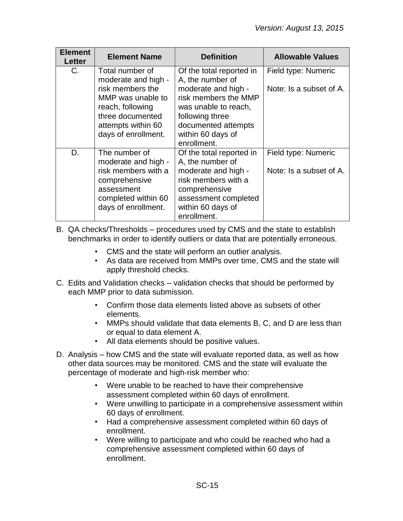| <b>Element</b><br>Letter | <b>Element Name</b>                                                                                                                                                  | <b>Definition</b>                                                                                                                                                                                 | <b>Allowable Values</b>                        |
|--------------------------|----------------------------------------------------------------------------------------------------------------------------------------------------------------------|---------------------------------------------------------------------------------------------------------------------------------------------------------------------------------------------------|------------------------------------------------|
| C.                       | Total number of<br>moderate and high -<br>risk members the<br>MMP was unable to<br>reach, following<br>three documented<br>attempts within 60<br>days of enrollment. | Of the total reported in<br>A, the number of<br>moderate and high -<br>risk members the MMP<br>was unable to reach,<br>following three<br>documented attempts<br>within 60 days of<br>enrollment. | Field type: Numeric<br>Note: Is a subset of A. |
| D.                       | The number of<br>moderate and high -<br>risk members with a<br>comprehensive<br>assessment<br>completed within 60<br>days of enrollment.                             | Of the total reported in<br>A, the number of<br>moderate and high -<br>risk members with a<br>comprehensive<br>assessment completed<br>within 60 days of<br>enrollment.                           | Field type: Numeric<br>Note: Is a subset of A. |

- B. QA checks/Thresholds procedures used by CMS and the state to establish benchmarks in order to identify outliers or data that are potentially erroneous.
	- CMS and the state will perform an outlier analysis.
	- As data are received from MMPs over time, CMS and the state will apply threshold checks.
- C. Edits and Validation checks validation checks that should be performed by each MMP prior to data submission.
	- Confirm those data elements listed above as subsets of other elements.
	- MMPs should validate that data elements B, C, and D are less than or equal to data element A.
	- All data elements should be positive values.
- D. Analysis how CMS and the state will evaluate reported data, as well as how other data sources may be monitored. CMS and the state will evaluate the percentage of moderate and high-risk member who:
	- Were unable to be reached to have their comprehensive assessment completed within 60 days of enrollment.
	- Were unwilling to participate in a comprehensive assessment within 60 days of enrollment.
	- Had a comprehensive assessment completed within 60 days of enrollment.
	- Were willing to participate and who could be reached who had a comprehensive assessment completed within 60 days of enrollment.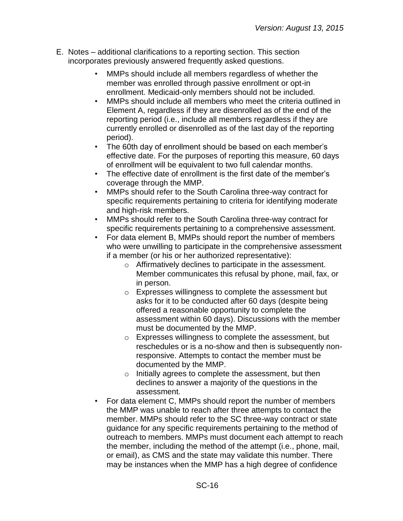- E. Notes additional clarifications to a reporting section. This section incorporates previously answered frequently asked questions.
	- MMPs should include all members regardless of whether the member was enrolled through passive enrollment or opt-in enrollment. Medicaid-only members should not be included.
	- MMPs should include all members who meet the criteria outlined in Element A, regardless if they are disenrolled as of the end of the reporting period (i.e., include all members regardless if they are currently enrolled or disenrolled as of the last day of the reporting period).
	- The 60th day of enrollment should be based on each member's effective date. For the purposes of reporting this measure, 60 days of enrollment will be equivalent to two full calendar months.
	- The effective date of enrollment is the first date of the member's coverage through the MMP.
	- MMPs should refer to the South Carolina three-way contract for specific requirements pertaining to criteria for identifying moderate and high-risk members.
	- MMPs should refer to the South Carolina three-way contract for specific requirements pertaining to a comprehensive assessment.
	- For data element B, MMPs should report the number of members who were unwilling to participate in the comprehensive assessment if a member (or his or her authorized representative):
		- o Affirmatively declines to participate in the assessment. Member communicates this refusal by phone, mail, fax, or in person.
		- o Expresses willingness to complete the assessment but asks for it to be conducted after 60 days (despite being offered a reasonable opportunity to complete the assessment within 60 days). Discussions with the member must be documented by the MMP.
		- o Expresses willingness to complete the assessment, but reschedules or is a no-show and then is subsequently nonresponsive. Attempts to contact the member must be documented by the MMP.
		- o Initially agrees to complete the assessment, but then declines to answer a majority of the questions in the assessment.
	- For data element C, MMPs should report the number of members the MMP was unable to reach after three attempts to contact the member. MMPs should refer to the SC three-way contract or state guidance for any specific requirements pertaining to the method of outreach to members. MMPs must document each attempt to reach the member, including the method of the attempt (i.e., phone, mail, or email), as CMS and the state may validate this number. There may be instances when the MMP has a high degree of confidence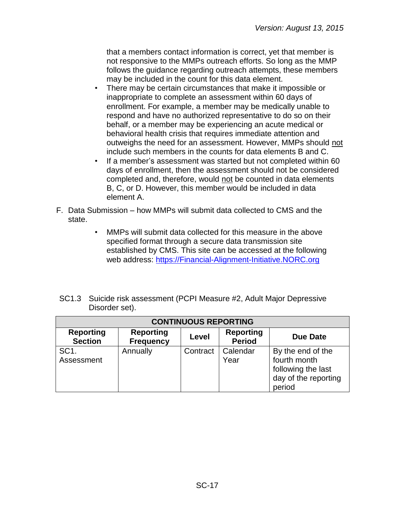that a members contact information is correct, yet that member is not responsive to the MMPs outreach efforts. So long as the MMP follows the guidance regarding outreach attempts, these members may be included in the count for this data element.

- There may be certain circumstances that make it impossible or inappropriate to complete an assessment within 60 days of enrollment. For example, a member may be medically unable to respond and have no authorized representative to do so on their behalf, or a member may be experiencing an acute medical or behavioral health crisis that requires immediate attention and outweighs the need for an assessment. However, MMPs should not include such members in the counts for data elements B and C.
- If a member's assessment was started but not completed within 60 days of enrollment, then the assessment should not be considered completed and, therefore, would not be counted in data elements B, C, or D. However, this member would be included in data element A.
- F. Data Submission how MMPs will submit data collected to CMS and the state.
	- MMPs will submit data collected for this measure in the above specified format through a secure data transmission site established by CMS. This site can be accessed at the following web address: [https://Financial-Alignment-Initiative.NORC.org](https://financial-alignment-initiative.norc.org/)

| SC1.3 Suicide risk assessment (PCPI Measure #2, Adult Major Depressive |
|------------------------------------------------------------------------|
| Disorder set).                                                         |

| <b>CONTINUOUS REPORTING</b>        |                                      |          |                                   |                                                                                           |
|------------------------------------|--------------------------------------|----------|-----------------------------------|-------------------------------------------------------------------------------------------|
| <b>Reporting</b><br><b>Section</b> | <b>Reporting</b><br><b>Frequency</b> | Level    | <b>Reporting</b><br><b>Period</b> | Due Date                                                                                  |
| SC <sub>1</sub> .<br>Assessment    | Annually                             | Contract | Calendar<br>Year                  | By the end of the<br>fourth month<br>following the last<br>day of the reporting<br>period |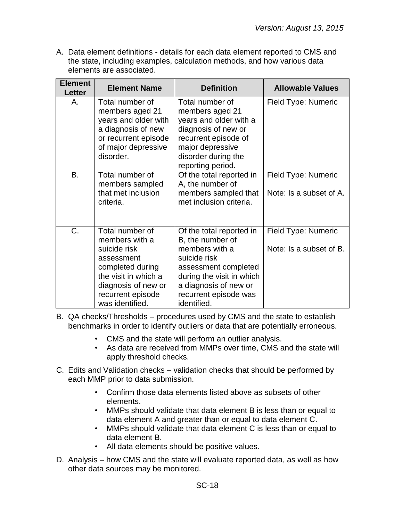| <b>Element</b><br><b>Letter</b> | <b>Element Name</b>                                                                                                                                                        | <b>Definition</b>                                                                                                                                                                                    | <b>Allowable Values</b>                        |
|---------------------------------|----------------------------------------------------------------------------------------------------------------------------------------------------------------------------|------------------------------------------------------------------------------------------------------------------------------------------------------------------------------------------------------|------------------------------------------------|
| Α.                              | Total number of<br>members aged 21<br>years and older with<br>a diagnosis of new<br>or recurrent episode<br>of major depressive<br>disorder.                               | Total number of<br>members aged 21<br>years and older with a<br>diagnosis of new or<br>recurrent episode of<br>major depressive<br>disorder during the<br>reporting period.                          | Field Type: Numeric                            |
| <b>B.</b>                       | Total number of<br>members sampled<br>that met inclusion<br>criteria.                                                                                                      | Of the total reported in<br>A, the number of<br>members sampled that<br>met inclusion criteria.                                                                                                      | Field Type: Numeric<br>Note: Is a subset of A. |
| C.                              | Total number of<br>members with a<br>suicide risk<br>assessment<br>completed during<br>the visit in which a<br>diagnosis of new or<br>recurrent episode<br>was identified. | Of the total reported in<br>B, the number of<br>members with a<br>suicide risk<br>assessment completed<br>during the visit in which<br>a diagnosis of new or<br>recurrent episode was<br>identified. | Field Type: Numeric<br>Note: Is a subset of B. |

- B. QA checks/Thresholds procedures used by CMS and the state to establish benchmarks in order to identify outliers or data that are potentially erroneous.
	- CMS and the state will perform an outlier analysis.
	- As data are received from MMPs over time, CMS and the state will apply threshold checks.
- C. Edits and Validation checks validation checks that should be performed by each MMP prior to data submission.
	- Confirm those data elements listed above as subsets of other elements.
	- MMPs should validate that data element B is less than or equal to data element A and greater than or equal to data element C.
	- MMPs should validate that data element C is less than or equal to data element B.
	- All data elements should be positive values.
- D. Analysis how CMS and the state will evaluate reported data, as well as how other data sources may be monitored.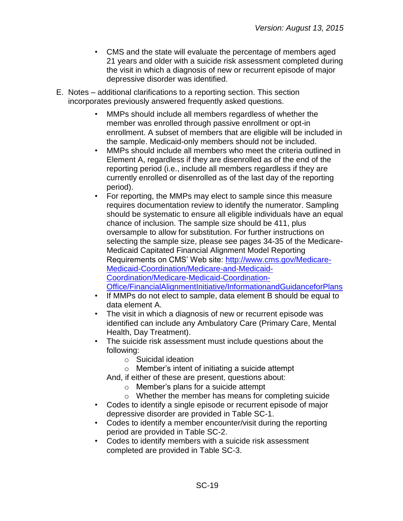- CMS and the state will evaluate the percentage of members aged 21 years and older with a suicide risk assessment completed during the visit in which a diagnosis of new or recurrent episode of major depressive disorder was identified.
- E. Notes additional clarifications to a reporting section. This section incorporates previously answered frequently asked questions.
	- MMPs should include all members regardless of whether the member was enrolled through passive enrollment or opt-in enrollment. A subset of members that are eligible will be included in the sample. Medicaid-only members should not be included.
	- MMPs should include all members who meet the criteria outlined in Element A, regardless if they are disenrolled as of the end of the reporting period (i.e., include all members regardless if they are currently enrolled or disenrolled as of the last day of the reporting period).
	- For reporting, the MMPs may elect to sample since this measure requires documentation review to identify the numerator. Sampling should be systematic to ensure all eligible individuals have an equal chance of inclusion. The sample size should be 411, plus oversample to allow for substitution. For further instructions on selecting the sample size, please see pages 34-35 of the Medicare-Medicaid Capitated Financial Alignment Model Reporting Requirements on CMS' Web site: [http://www.cms.gov/Medicare-](http://www.cms.gov/Medicare-Medicaid-Coordination/Medicare-and-Medicaid-Coordination/Medicare-Medicaid-Coordination-Office/FinancialAlignmentInitiative/InformationandGuidanceforPlans)[Medicaid-Coordination/Medicare-and-Medicaid-](http://www.cms.gov/Medicare-Medicaid-Coordination/Medicare-and-Medicaid-Coordination/Medicare-Medicaid-Coordination-Office/FinancialAlignmentInitiative/InformationandGuidanceforPlans)[Coordination/Medicare-Medicaid-Coordination-](http://www.cms.gov/Medicare-Medicaid-Coordination/Medicare-and-Medicaid-Coordination/Medicare-Medicaid-Coordination-Office/FinancialAlignmentInitiative/InformationandGuidanceforPlans)[Office/FinancialAlignmentInitiative/InformationandGuidanceforPlans](http://www.cms.gov/Medicare-Medicaid-Coordination/Medicare-and-Medicaid-Coordination/Medicare-Medicaid-Coordination-Office/FinancialAlignmentInitiative/InformationandGuidanceforPlans)
	- If MMPs do not elect to sample, data element B should be equal to data element A.
	- The visit in which a diagnosis of new or recurrent episode was identified can include any Ambulatory Care (Primary Care, Mental Health, Day Treatment).
	- The suicide risk assessment must include questions about the following:
		- o Suicidal ideation
		- o Member's intent of initiating a suicide attempt
		- And, if either of these are present, questions about:
			- o Member's plans for a suicide attempt
			- o Whether the member has means for completing suicide
	- Codes to identify a single episode or recurrent episode of major depressive disorder are provided in Table SC-1.
	- Codes to identify a member encounter/visit during the reporting period are provided in Table SC-2.
	- Codes to identify members with a suicide risk assessment completed are provided in Table SC-3.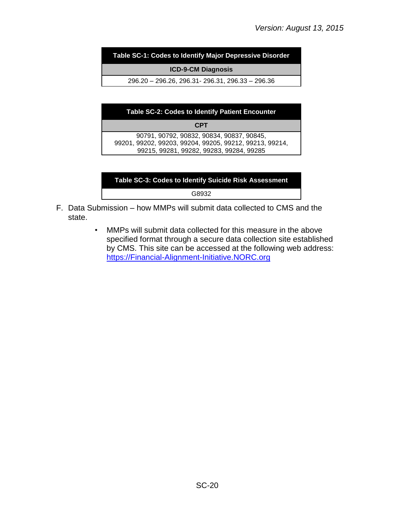**Table SC-1: Codes to Identify Major Depressive Disorder**

**ICD-9-CM Diagnosis** 

296.20 – 296.26, 296.31- 296.31, 296.33 – 296.36

| <b>Table SC-2: Codes to Identify Patient Encounter</b>                                                                                           |  |  |  |  |
|--------------------------------------------------------------------------------------------------------------------------------------------------|--|--|--|--|
| <b>CPT</b>                                                                                                                                       |  |  |  |  |
| 90791, 90792, 90832, 90834, 90837, 90845,<br>99201, 99202, 99203, 99204, 99205, 99212, 99213, 99214,<br>99215, 99281, 99282, 99283, 99284, 99285 |  |  |  |  |

| Table SC-3: Codes to Identify Suicide Risk Assessment |  |
|-------------------------------------------------------|--|
| G8932                                                 |  |

- F. Data Submission how MMPs will submit data collected to CMS and the state.
	- MMPs will submit data collected for this measure in the above specified format through a secure data collection site established by CMS. This site can be accessed at the following web address: [https://Financial-Alignment-Initiative.NORC.org](https://financial-alignment-initiative.norc.org/)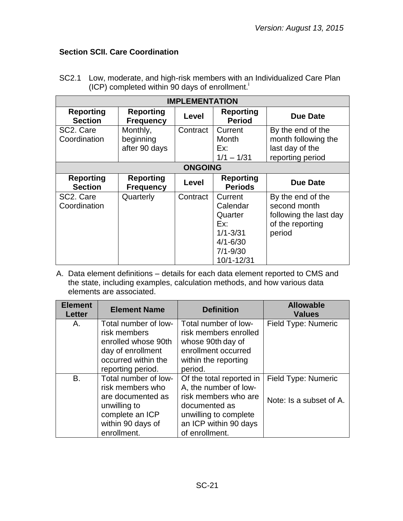# <span id="page-20-0"></span>**Section SCII. Care Coordination**

| <b>IMPLEMENTATION</b>              |                                        |                |                                                                                                     |                                                                                           |  |
|------------------------------------|----------------------------------------|----------------|-----------------------------------------------------------------------------------------------------|-------------------------------------------------------------------------------------------|--|
| <b>Reporting</b><br><b>Section</b> | <b>Reporting</b><br><b>Frequency</b>   | Level          | <b>Reporting</b><br><b>Period</b>                                                                   | <b>Due Date</b>                                                                           |  |
| SC2. Care<br>Coordination          | Monthly,<br>beginning<br>after 90 days | Contract       | Current<br>Month<br>Ex:<br>$1/1 - 1/31$                                                             | By the end of the<br>month following the<br>last day of the<br>reporting period           |  |
|                                    |                                        | <b>ONGOING</b> |                                                                                                     |                                                                                           |  |
| <b>Reporting</b><br><b>Section</b> | <b>Reporting</b><br><b>Frequency</b>   | Level          | <b>Reporting</b><br><b>Periods</b>                                                                  | <b>Due Date</b>                                                                           |  |
| SC2. Care<br>Coordination          | Quarterly                              | Contract       | Current<br>Calendar<br>Quarter<br>Ex:<br>$1/1 - 3/31$<br>$4/1 - 6/30$<br>$7/1 - 9/30$<br>10/1-12/31 | By the end of the<br>second month<br>following the last day<br>of the reporting<br>period |  |

SC2.1 Low, moderate, and high-risk members with an Individualized Care Plan (ICP) completed within 90 days of enrollment.<sup>i</sup>

| <b>Element</b><br><b>Letter</b> | <b>Element Name</b>                                                                                                                  | <b>Definition</b>                                                                                                                                              | <b>Allowable</b><br><b>Values</b>              |
|---------------------------------|--------------------------------------------------------------------------------------------------------------------------------------|----------------------------------------------------------------------------------------------------------------------------------------------------------------|------------------------------------------------|
| Α.                              | Total number of low-<br>risk members<br>enrolled whose 90th<br>day of enrollment<br>occurred within the<br>reporting period.         | Total number of low-<br>risk members enrolled<br>whose 90th day of<br>enrollment occurred<br>within the reporting<br>period.                                   | Field Type: Numeric                            |
| <b>B.</b>                       | Total number of low-<br>risk members who<br>are documented as<br>unwilling to<br>complete an ICP<br>within 90 days of<br>enrollment. | Of the total reported in<br>A, the number of low-<br>risk members who are<br>documented as<br>unwilling to complete<br>an ICP within 90 days<br>of enrollment. | Field Type: Numeric<br>Note: Is a subset of A. |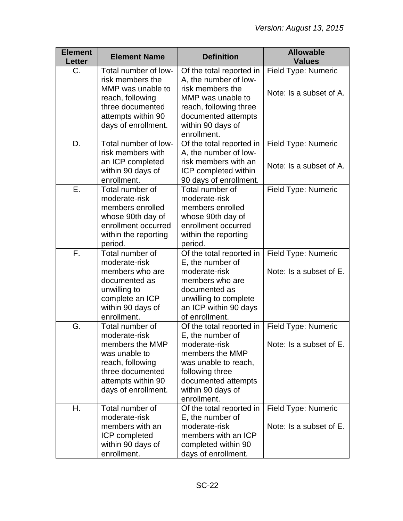| <b>Element</b><br><b>Letter</b> | <b>Element Name</b>                                                                                                   | <b>Definition</b>                                                                                                                      | <b>Allowable</b><br><b>Values</b>              |
|---------------------------------|-----------------------------------------------------------------------------------------------------------------------|----------------------------------------------------------------------------------------------------------------------------------------|------------------------------------------------|
| C.                              | Total number of low-<br>risk members the<br>MMP was unable to                                                         | Of the total reported in<br>A, the number of low-<br>risk members the                                                                  | Field Type: Numeric                            |
|                                 | reach, following<br>three documented<br>attempts within 90<br>days of enrollment.                                     | MMP was unable to<br>reach, following three<br>documented attempts<br>within 90 days of<br>enrollment.                                 | Note: Is a subset of A.                        |
| D.                              | Total number of low-<br>risk members with<br>an ICP completed                                                         | Of the total reported in<br>A, the number of low-<br>risk members with an                                                              | Field Type: Numeric<br>Note: Is a subset of A. |
|                                 | within 90 days of<br>enrollment.                                                                                      | ICP completed within<br>90 days of enrollment.                                                                                         |                                                |
| Ε.                              | Total number of<br>moderate-risk<br>members enrolled<br>whose 90th day of<br>enrollment occurred                      | Total number of<br>moderate-risk<br>members enrolled<br>whose 90th day of<br>enrollment occurred                                       | Field Type: Numeric                            |
|                                 | within the reporting<br>period.                                                                                       | within the reporting<br>period.                                                                                                        |                                                |
| F.                              | Total number of<br>moderate-risk<br>members who are                                                                   | Of the total reported in<br>E, the number of<br>moderate-risk                                                                          | Field Type: Numeric<br>Note: Is a subset of E. |
|                                 | documented as<br>unwilling to<br>complete an ICP<br>within 90 days of<br>enrollment.                                  | members who are<br>documented as<br>unwilling to complete<br>an ICP within 90 days<br>of enrollment.                                   |                                                |
| G.                              | Total number of<br>moderate-risk                                                                                      | Of the total reported in<br>E, the number of                                                                                           | Field Type: Numeric                            |
|                                 | members the MMP<br>was unable to<br>reach, following<br>three documented<br>attempts within 90<br>days of enrollment. | moderate-risk<br>members the MMP<br>was unable to reach,<br>following three<br>documented attempts<br>within 90 days of<br>enrollment. | Note: Is a subset of E.                        |
| Η.                              | Total number of<br>moderate-risk<br>members with an                                                                   | Of the total reported in<br>E, the number of<br>moderate-risk                                                                          | Field Type: Numeric<br>Note: Is a subset of E. |
|                                 | ICP completed<br>within 90 days of<br>enrollment.                                                                     | members with an ICP<br>completed within 90<br>days of enrollment.                                                                      |                                                |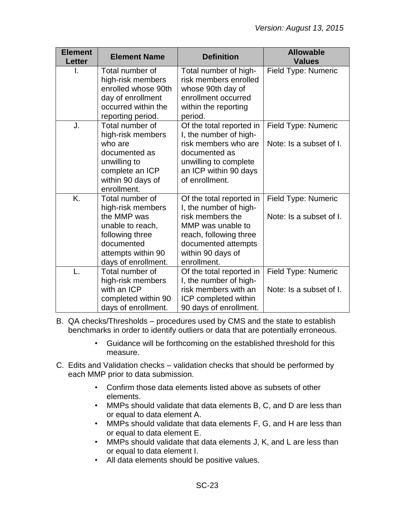| <b>Element</b><br><b>Letter</b> | <b>Element Name</b>                                                                                                                                   | <b>Definition</b>                                                                                                                                                                | <b>Allowable</b><br><b>Values</b>              |
|---------------------------------|-------------------------------------------------------------------------------------------------------------------------------------------------------|----------------------------------------------------------------------------------------------------------------------------------------------------------------------------------|------------------------------------------------|
| I.                              | Total number of<br>high-risk members<br>enrolled whose 90th<br>day of enrollment<br>occurred within the<br>reporting period.                          | Total number of high-<br>risk members enrolled<br>whose 90th day of<br>enrollment occurred<br>within the reporting<br>period.                                                    | Field Type: Numeric                            |
| J.                              | Total number of<br>high-risk members<br>who are<br>documented as<br>unwilling to<br>complete an ICP<br>within 90 days of<br>enrollment.               | Of the total reported in<br>I, the number of high-<br>risk members who are<br>documented as<br>unwilling to complete<br>an ICP within 90 days<br>of enrollment.                  | Field Type: Numeric<br>Note: Is a subset of I. |
| K.                              | Total number of<br>high-risk members<br>the MMP was<br>unable to reach,<br>following three<br>documented<br>attempts within 90<br>days of enrollment. | Of the total reported in<br>I, the number of high-<br>risk members the<br>MMP was unable to<br>reach, following three<br>documented attempts<br>within 90 days of<br>enrollment. | Field Type: Numeric<br>Note: Is a subset of I. |
|                                 | Total number of<br>high-risk members<br>with an ICP<br>completed within 90<br>days of enrollment.                                                     | Of the total reported in<br>I, the number of high-<br>risk members with an<br>ICP completed within<br>90 days of enrollment.                                                     | Field Type: Numeric<br>Note: Is a subset of I. |

- B. QA checks/Thresholds procedures used by CMS and the state to establish benchmarks in order to identify outliers or data that are potentially erroneous.
	- Guidance will be forthcoming on the established threshold for this measure.
- C. Edits and Validation checks validation checks that should be performed by each MMP prior to data submission.
	- Confirm those data elements listed above as subsets of other elements.
	- MMPs should validate that data elements B, C, and D are less than or equal to data element A.
	- MMPs should validate that data elements F, G, and H are less than or equal to data element E.
	- MMPs should validate that data elements J, K, and L are less than or equal to data element I.
	- All data elements should be positive values.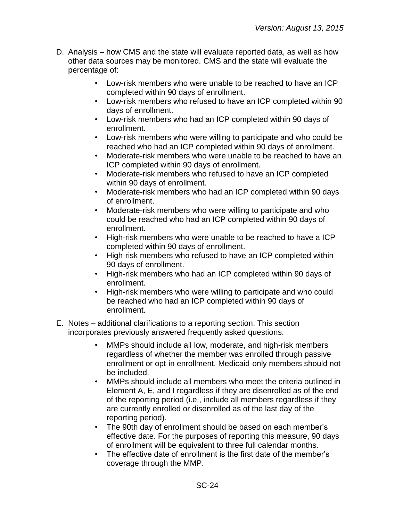- D. Analysis how CMS and the state will evaluate reported data, as well as how other data sources may be monitored. CMS and the state will evaluate the percentage of:
	- Low-risk members who were unable to be reached to have an ICP completed within 90 days of enrollment.
	- Low-risk members who refused to have an ICP completed within 90 days of enrollment.
	- Low-risk members who had an ICP completed within 90 days of enrollment.
	- Low-risk members who were willing to participate and who could be reached who had an ICP completed within 90 days of enrollment.
	- Moderate-risk members who were unable to be reached to have an ICP completed within 90 days of enrollment.
	- Moderate-risk members who refused to have an ICP completed within 90 days of enrollment.
	- Moderate-risk members who had an ICP completed within 90 days of enrollment.
	- Moderate-risk members who were willing to participate and who could be reached who had an ICP completed within 90 days of enrollment.
	- High-risk members who were unable to be reached to have a ICP completed within 90 days of enrollment.
	- High-risk members who refused to have an ICP completed within 90 days of enrollment.
	- High-risk members who had an ICP completed within 90 days of enrollment.
	- High-risk members who were willing to participate and who could be reached who had an ICP completed within 90 days of enrollment.
- E. Notes additional clarifications to a reporting section. This section incorporates previously answered frequently asked questions.
	- MMPs should include all low, moderate, and high-risk members regardless of whether the member was enrolled through passive enrollment or opt-in enrollment. Medicaid-only members should not be included.
	- MMPs should include all members who meet the criteria outlined in Element A, E, and I regardless if they are disenrolled as of the end of the reporting period (i.e., include all members regardless if they are currently enrolled or disenrolled as of the last day of the reporting period).
	- The 90th day of enrollment should be based on each member's effective date. For the purposes of reporting this measure, 90 days of enrollment will be equivalent to three full calendar months.
	- The effective date of enrollment is the first date of the member's coverage through the MMP.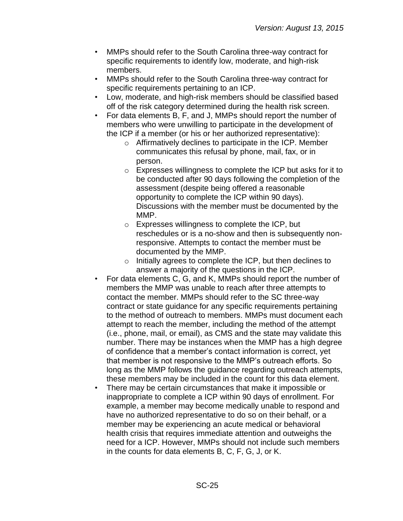- MMPs should refer to the South Carolina three-way contract for specific requirements to identify low, moderate, and high-risk members.
- MMPs should refer to the South Carolina three-way contract for specific requirements pertaining to an ICP.
- Low, moderate, and high-risk members should be classified based off of the risk category determined during the health risk screen.
- For data elements B, F, and J, MMPs should report the number of members who were unwilling to participate in the development of the ICP if a member (or his or her authorized representative):
	- o Affirmatively declines to participate in the ICP. Member communicates this refusal by phone, mail, fax, or in person.
	- o Expresses willingness to complete the ICP but asks for it to be conducted after 90 days following the completion of the assessment (despite being offered a reasonable opportunity to complete the ICP within 90 days). Discussions with the member must be documented by the MMP.
	- o Expresses willingness to complete the ICP, but reschedules or is a no-show and then is subsequently nonresponsive. Attempts to contact the member must be documented by the MMP.
	- o Initially agrees to complete the ICP, but then declines to answer a majority of the questions in the ICP.
- For data elements C, G, and K, MMPs should report the number of members the MMP was unable to reach after three attempts to contact the member. MMPs should refer to the SC three-way contract or state guidance for any specific requirements pertaining to the method of outreach to members. MMPs must document each attempt to reach the member, including the method of the attempt (i.e., phone, mail, or email), as CMS and the state may validate this number. There may be instances when the MMP has a high degree of confidence that a member's contact information is correct, yet that member is not responsive to the MMP's outreach efforts. So long as the MMP follows the guidance regarding outreach attempts, these members may be included in the count for this data element.
- There may be certain circumstances that make it impossible or inappropriate to complete a ICP within 90 days of enrollment. For example, a member may become medically unable to respond and have no authorized representative to do so on their behalf, or a member may be experiencing an acute medical or behavioral health crisis that requires immediate attention and outweighs the need for a ICP. However, MMPs should not include such members in the counts for data elements B, C, F, G, J, or K.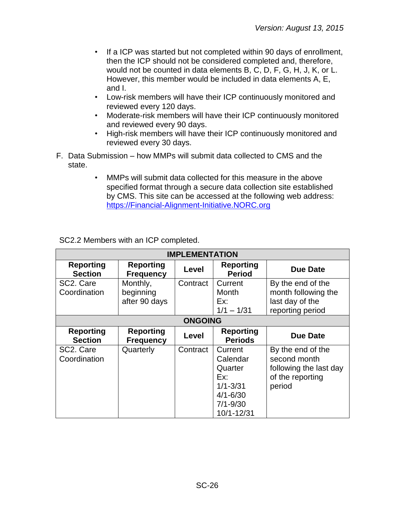- If a ICP was started but not completed within 90 days of enrollment, then the ICP should not be considered completed and, therefore, would not be counted in data elements B, C, D, F, G, H, J, K, or L. However, this member would be included in data elements A, E, and I.
- Low-risk members will have their ICP continuously monitored and reviewed every 120 days.
- Moderate-risk members will have their ICP continuously monitored and reviewed every 90 days.
- High-risk members will have their ICP continuously monitored and reviewed every 30 days.
- F. Data Submission how MMPs will submit data collected to CMS and the state.
	- MMPs will submit data collected for this measure in the above specified format through a secure data collection site established by CMS. This site can be accessed at the following web address: [https://Financial-Alignment-Initiative.NORC.org](https://financial-alignment-initiative.norc.org/)

| <b>IMPLEMENTATION</b>              |                                        |                |                                                                                                     |                                                                                           |  |
|------------------------------------|----------------------------------------|----------------|-----------------------------------------------------------------------------------------------------|-------------------------------------------------------------------------------------------|--|
| <b>Reporting</b><br><b>Section</b> | <b>Reporting</b><br><b>Frequency</b>   | Level          | <b>Reporting</b><br><b>Period</b>                                                                   | Due Date                                                                                  |  |
| SC2. Care<br>Coordination          | Monthly,<br>beginning<br>after 90 days | Contract       | Current<br>Month<br>Ex:<br>$1/1 - 1/31$                                                             | By the end of the<br>month following the<br>last day of the<br>reporting period           |  |
|                                    |                                        | <b>ONGOING</b> |                                                                                                     |                                                                                           |  |
| <b>Reporting</b><br><b>Section</b> | <b>Reporting</b><br><b>Frequency</b>   | Level          | <b>Reporting</b><br><b>Periods</b>                                                                  | Due Date                                                                                  |  |
| SC2. Care<br>Coordination          | Quarterly                              | Contract       | Current<br>Calendar<br>Quarter<br>Ex:<br>$1/1 - 3/31$<br>$4/1 - 6/30$<br>$7/1 - 9/30$<br>10/1-12/31 | By the end of the<br>second month<br>following the last day<br>of the reporting<br>period |  |

SC2.2 Members with an ICP completed.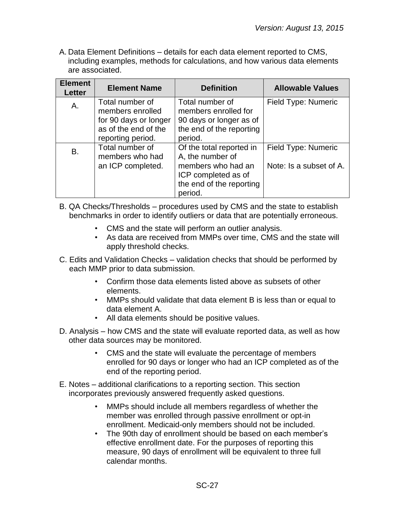A. Data Element Definitions – details for each data element reported to CMS, including examples, methods for calculations, and how various data elements are associated.

| <b>Element</b><br><b>Letter</b> | <b>Element Name</b>   | <b>Definition</b>        | <b>Allowable Values</b> |
|---------------------------------|-----------------------|--------------------------|-------------------------|
| А.                              | Total number of       | Total number of          | Field Type: Numeric     |
|                                 | members enrolled      | members enrolled for     |                         |
|                                 | for 90 days or longer | 90 days or longer as of  |                         |
|                                 | as of the end of the  | the end of the reporting |                         |
|                                 | reporting period.     | period.                  |                         |
| B.                              | Total number of       | Of the total reported in | Field Type: Numeric     |
|                                 | members who had       | A, the number of         |                         |
|                                 | an ICP completed.     | members who had an       | Note: Is a subset of A. |
|                                 |                       | ICP completed as of      |                         |
|                                 |                       | the end of the reporting |                         |
|                                 |                       | period.                  |                         |

- B. QA Checks/Thresholds procedures used by CMS and the state to establish benchmarks in order to identify outliers or data that are potentially erroneous.
	- CMS and the state will perform an outlier analysis.
	- As data are received from MMPs over time, CMS and the state will apply threshold checks.
- C. Edits and Validation Checks validation checks that should be performed by each MMP prior to data submission.
	- Confirm those data elements listed above as subsets of other elements.
	- MMPs should validate that data element B is less than or equal to data element A.
	- All data elements should be positive values.
- D. Analysis how CMS and the state will evaluate reported data, as well as how other data sources may be monitored.
	- CMS and the state will evaluate the percentage of members enrolled for 90 days or longer who had an ICP completed as of the end of the reporting period.
- E. Notes additional clarifications to a reporting section. This section incorporates previously answered frequently asked questions.
	- MMPs should include all members regardless of whether the member was enrolled through passive enrollment or opt-in enrollment. Medicaid-only members should not be included.
	- The 90th day of enrollment should be based on each member's effective enrollment date. For the purposes of reporting this measure, 90 days of enrollment will be equivalent to three full calendar months.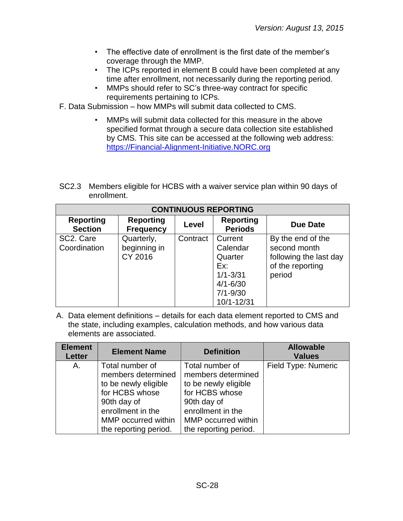- The effective date of enrollment is the first date of the member's coverage through the MMP.
- The ICPs reported in element B could have been completed at any time after enrollment, not necessarily during the reporting period.
- MMPs should refer to SC's three-way contract for specific requirements pertaining to ICPs.
- F. Data Submission how MMPs will submit data collected to CMS.
	- MMPs will submit data collected for this measure in the above specified format through a secure data collection site established by CMS. This site can be accessed at the following web address: [https://Financial-Alignment-Initiative.NORC.org](https://financial-alignment-initiative.norc.org/)
- SC2.3 Members eligible for HCBS with a waiver service plan within 90 days of enrollment.

| <b>CONTINUOUS REPORTING</b>            |                                       |          |                                                                                                     |                                                                                           |  |  |  |
|----------------------------------------|---------------------------------------|----------|-----------------------------------------------------------------------------------------------------|-------------------------------------------------------------------------------------------|--|--|--|
| <b>Reporting</b><br><b>Section</b>     | <b>Reporting</b><br><b>Frequency</b>  | Level    | <b>Reporting</b><br><b>Periods</b>                                                                  | Due Date                                                                                  |  |  |  |
| SC <sub>2</sub> . Care<br>Coordination | Quarterly,<br>beginning in<br>CY 2016 | Contract | Current<br>Calendar<br>Quarter<br>Ex:<br>$1/1 - 3/31$<br>$4/1 - 6/30$<br>$7/1 - 9/30$<br>10/1-12/31 | By the end of the<br>second month<br>following the last day<br>of the reporting<br>period |  |  |  |

| <b>Element</b><br><b>Letter</b> | <b>Element Name</b>   | <b>Definition</b>     | <b>Allowable</b><br><b>Values</b> |
|---------------------------------|-----------------------|-----------------------|-----------------------------------|
| Α.                              | Total number of       | Total number of       | Field Type: Numeric               |
|                                 | members determined    | members determined    |                                   |
|                                 | to be newly eligible  | to be newly eligible  |                                   |
|                                 | for HCBS whose        | for HCBS whose        |                                   |
|                                 | 90th day of           | 90th day of           |                                   |
|                                 | enrollment in the     | enrollment in the     |                                   |
|                                 | MMP occurred within   | MMP occurred within   |                                   |
|                                 | the reporting period. | the reporting period. |                                   |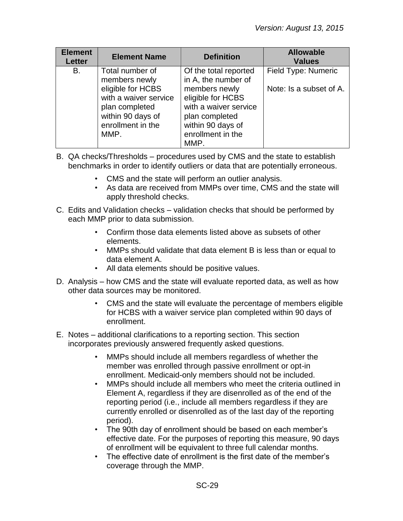| <b>Element</b><br><b>Letter</b> | <b>Element Name</b>                                                                                                                                | <b>Definition</b>                                                                                                                                                               | <b>Allowable</b><br><b>Values</b>              |
|---------------------------------|----------------------------------------------------------------------------------------------------------------------------------------------------|---------------------------------------------------------------------------------------------------------------------------------------------------------------------------------|------------------------------------------------|
| В.                              | Total number of<br>members newly<br>eligible for HCBS<br>with a waiver service<br>plan completed<br>within 90 days of<br>enrollment in the<br>MMP. | Of the total reported<br>in A, the number of<br>members newly<br>eligible for HCBS<br>with a waiver service<br>plan completed<br>within 90 days of<br>enrollment in the<br>MMP. | Field Type: Numeric<br>Note: Is a subset of A. |

- B. QA checks/Thresholds procedures used by CMS and the state to establish benchmarks in order to identify outliers or data that are potentially erroneous.
	- CMS and the state will perform an outlier analysis.
	- As data are received from MMPs over time, CMS and the state will apply threshold checks.
- C. Edits and Validation checks validation checks that should be performed by each MMP prior to data submission.
	- Confirm those data elements listed above as subsets of other elements.
	- MMPs should validate that data element B is less than or equal to data element A.
	- All data elements should be positive values.
- D. Analysis how CMS and the state will evaluate reported data, as well as how other data sources may be monitored.
	- CMS and the state will evaluate the percentage of members eligible for HCBS with a waiver service plan completed within 90 days of enrollment.
- E. Notes additional clarifications to a reporting section. This section incorporates previously answered frequently asked questions.
	- MMPs should include all members regardless of whether the member was enrolled through passive enrollment or opt-in enrollment. Medicaid-only members should not be included.
	- MMPs should include all members who meet the criteria outlined in Element A, regardless if they are disenrolled as of the end of the reporting period (i.e., include all members regardless if they are currently enrolled or disenrolled as of the last day of the reporting period).
	- The 90th day of enrollment should be based on each member's effective date. For the purposes of reporting this measure, 90 days of enrollment will be equivalent to three full calendar months.
	- The effective date of enrollment is the first date of the member's coverage through the MMP.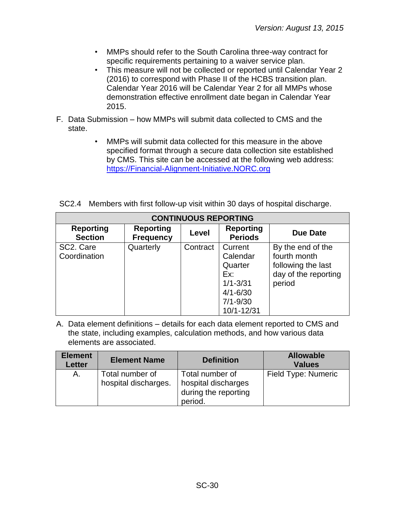- MMPs should refer to the South Carolina three-way contract for specific requirements pertaining to a waiver service plan.
- This measure will not be collected or reported until Calendar Year 2 (2016) to correspond with Phase II of the HCBS transition plan. Calendar Year 2016 will be Calendar Year 2 for all MMPs whose demonstration effective enrollment date began in Calendar Year 2015.
- F. Data Submission how MMPs will submit data collected to CMS and the state.
	- MMPs will submit data collected for this measure in the above specified format through a secure data collection site established by CMS. This site can be accessed at the following web address: [https://Financial-Alignment-Initiative.NORC.org](https://financial-alignment-initiative.norc.org/)

|  |  |  |  |  | SC2.4 Members with first follow-up visit within 30 days of hospital discharge. |
|--|--|--|--|--|--------------------------------------------------------------------------------|
|--|--|--|--|--|--------------------------------------------------------------------------------|

| <b>CONTINUOUS REPORTING</b>        |                                      |          |                                                                                                     |                                                                                           |  |  |  |
|------------------------------------|--------------------------------------|----------|-----------------------------------------------------------------------------------------------------|-------------------------------------------------------------------------------------------|--|--|--|
| <b>Reporting</b><br><b>Section</b> | <b>Reporting</b><br><b>Frequency</b> | Level    | <b>Reporting</b><br><b>Periods</b>                                                                  | Due Date                                                                                  |  |  |  |
| SC2. Care<br>Coordination          | Quarterly                            | Contract | Current<br>Calendar<br>Quarter<br>Ex:<br>$1/1 - 3/31$<br>$4/1 - 6/30$<br>$7/1 - 9/30$<br>10/1-12/31 | By the end of the<br>fourth month<br>following the last<br>day of the reporting<br>period |  |  |  |

| <b>Element</b><br>Letter | <b>Element Name</b>                     | <b>Definition</b>                                                         | <b>Allowable</b><br><b>Values</b> |
|--------------------------|-----------------------------------------|---------------------------------------------------------------------------|-----------------------------------|
| A.                       | Total number of<br>hospital discharges. | Total number of<br>hospital discharges<br>during the reporting<br>period. | Field Type: Numeric               |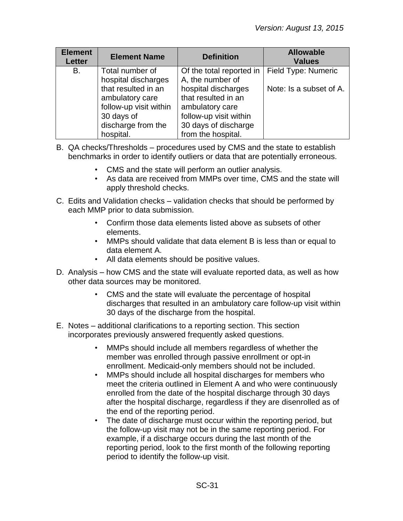| <b>Element</b><br><b>Letter</b> | <b>Element Name</b>                                                                                               | <b>Definition</b>                                                                                                                     | <b>Allowable</b><br><b>Values</b> |
|---------------------------------|-------------------------------------------------------------------------------------------------------------------|---------------------------------------------------------------------------------------------------------------------------------------|-----------------------------------|
| В.                              | Total number of<br>hospital discharges                                                                            | Of the total reported in<br>A, the number of                                                                                          | Field Type: Numeric               |
|                                 | that resulted in an<br>ambulatory care<br>follow-up visit within<br>30 days of<br>discharge from the<br>hospital. | hospital discharges<br>that resulted in an<br>ambulatory care<br>follow-up visit within<br>30 days of discharge<br>from the hospital. | Note: Is a subset of A.           |

- B. QA checks/Thresholds procedures used by CMS and the state to establish benchmarks in order to identify outliers or data that are potentially erroneous.
	- CMS and the state will perform an outlier analysis.
	- As data are received from MMPs over time, CMS and the state will apply threshold checks.
- C. Edits and Validation checks validation checks that should be performed by each MMP prior to data submission.
	- Confirm those data elements listed above as subsets of other elements.
	- MMPs should validate that data element B is less than or equal to data element A.
	- All data elements should be positive values.
- D. Analysis how CMS and the state will evaluate reported data, as well as how other data sources may be monitored.
	- CMS and the state will evaluate the percentage of hospital discharges that resulted in an ambulatory care follow-up visit within 30 days of the discharge from the hospital.
- E. Notes additional clarifications to a reporting section. This section incorporates previously answered frequently asked questions.
	- MMPs should include all members regardless of whether the member was enrolled through passive enrollment or opt-in enrollment. Medicaid-only members should not be included.
	- MMPs should include all hospital discharges for members who meet the criteria outlined in Element A and who were continuously enrolled from the date of the hospital discharge through 30 days after the hospital discharge, regardless if they are disenrolled as of the end of the reporting period.
	- The date of discharge must occur within the reporting period, but the follow-up visit may not be in the same reporting period. For example, if a discharge occurs during the last month of the reporting period, look to the first month of the following reporting period to identify the follow-up visit.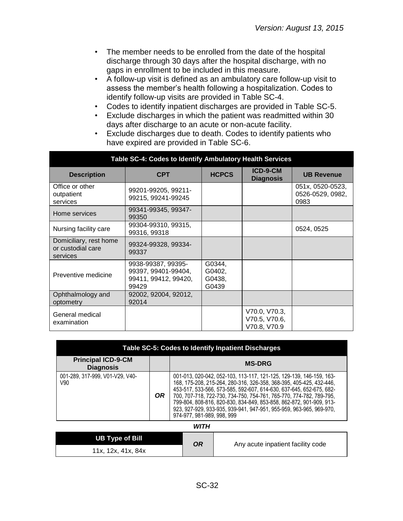- The member needs to be enrolled from the date of the hospital discharge through 30 days after the hospital discharge, with no gaps in enrollment to be included in this measure.
- A follow-up visit is defined as an ambulatory care follow-up visit to assess the member's health following a hospitalization. Codes to identify follow-up visits are provided in Table SC-4.
- Codes to identify inpatient discharges are provided in Table SC-5.
- Exclude discharges in which the patient was readmitted within 30 days after discharge to an acute or non-acute facility.
- Exclude discharges due to death. Codes to identify patients who have expired are provided in Table SC-6.

| Table SC-4: Codes to Identify Ambulatory Health Services |                                                                            |                                     |                                                |                                              |  |
|----------------------------------------------------------|----------------------------------------------------------------------------|-------------------------------------|------------------------------------------------|----------------------------------------------|--|
| <b>Description</b>                                       | <b>CPT</b>                                                                 | <b>HCPCS</b>                        | ICD-9-CM<br><b>Diagnosis</b>                   | <b>UB Revenue</b>                            |  |
| Office or other<br>outpatient<br>services                | 99201-99205, 99211-<br>99215, 99241-99245                                  |                                     |                                                | 051x, 0520-0523,<br>0526-0529, 0982,<br>0983 |  |
| Home services                                            | 99341-99345, 99347-<br>99350                                               |                                     |                                                |                                              |  |
| Nursing facility care                                    | 99304-99310, 99315,<br>99316, 99318                                        |                                     |                                                | 0524, 0525                                   |  |
| Domiciliary, rest home<br>or custodial care<br>services  | 99324-99328, 99334-<br>99337                                               |                                     |                                                |                                              |  |
| Preventive medicine                                      | 9938-99387, 99395-<br>99397, 99401-99404,<br>99411, 99412, 99420,<br>99429 | G0344,<br>G0402,<br>G0438,<br>G0439 |                                                |                                              |  |
| Ophthalmology and<br>optometry                           | 92002, 92004, 92012,<br>92014                                              |                                     |                                                |                                              |  |
| General medical<br>examination                           |                                                                            |                                     | V70.0, V70.3,<br>V70.5, V70.6,<br>V70.8, V70.9 |                                              |  |

| Table SC-5: Codes to Identify Inpatient Discharges |     |                                                                                                                                                                                                                                                                                                                                                                                                                                                                      |  |  |
|----------------------------------------------------|-----|----------------------------------------------------------------------------------------------------------------------------------------------------------------------------------------------------------------------------------------------------------------------------------------------------------------------------------------------------------------------------------------------------------------------------------------------------------------------|--|--|
| <b>Principal ICD-9-CM</b><br><b>Diagnosis</b>      |     | <b>MS-DRG</b>                                                                                                                                                                                                                                                                                                                                                                                                                                                        |  |  |
| 001-289, 317-999, V01-V29, V40-<br>V90             | OR. | 001-013, 020-042, 052-103, 113-117, 121-125, 129-139, 146-159, 163-<br>168, 175-208, 215-264, 280-316, 326-358, 368-395, 405-425, 432-446,<br>453-517, 533-566, 573-585, 592-607, 614-630, 637-645, 652-675, 682-<br>700, 707-718, 722-730, 734-750, 754-761, 765-770, 774-782, 789-795,<br>799-804, 808-816, 820-830, 834-849, 853-858, 862-872, 901-909, 913-<br>923, 927-929, 933-935, 939-941, 947-951, 955-959, 963-965, 969-970,<br>974-977, 981-989, 998, 999 |  |  |

| <b>UB Type of Bill</b> | OR | Any acute inpatient facility code |
|------------------------|----|-----------------------------------|
| 11x, 12x, 41x, 84x     |    |                                   |

*WITH*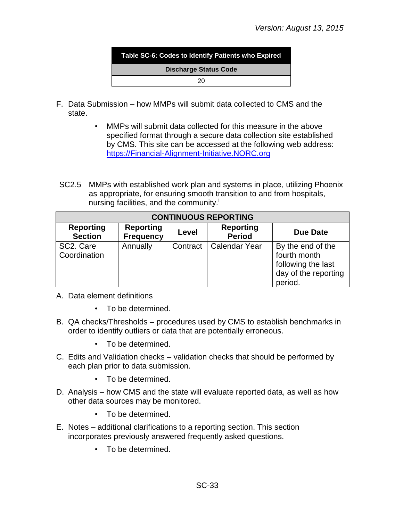

- F. Data Submission how MMPs will submit data collected to CMS and the state.
	- MMPs will submit data collected for this measure in the above specified format through a secure data collection site established by CMS. This site can be accessed at the following web address: [https://Financial-Alignment-Initiative.NORC.org](https://financial-alignment-initiative.norc.org/)
- SC2.5 MMPs with established work plan and systems in place, utilizing Phoenix as appropriate, for ensuring smooth transition to and from hospitals, nursing facilities, and the community.<sup>1</sup>

| <b>CONTINUOUS REPORTING</b>            |                                      |          |                                   |                                                                                            |
|----------------------------------------|--------------------------------------|----------|-----------------------------------|--------------------------------------------------------------------------------------------|
| <b>Reporting</b><br><b>Section</b>     | <b>Reporting</b><br><b>Frequency</b> | Level    | <b>Reporting</b><br><b>Period</b> | Due Date                                                                                   |
| SC <sub>2</sub> . Care<br>Coordination | Annually                             | Contract | Calendar Year                     | By the end of the<br>fourth month<br>following the last<br>day of the reporting<br>period. |

- A. Data element definitions
	- To be determined.
- B. QA checks/Thresholds procedures used by CMS to establish benchmarks in order to identify outliers or data that are potentially erroneous.
	- To be determined.
- C. Edits and Validation checks validation checks that should be performed by each plan prior to data submission.
	- To be determined.
- D. Analysis how CMS and the state will evaluate reported data, as well as how other data sources may be monitored.
	- To be determined.
- E. Notes additional clarifications to a reporting section. This section incorporates previously answered frequently asked questions.
	- To be determined.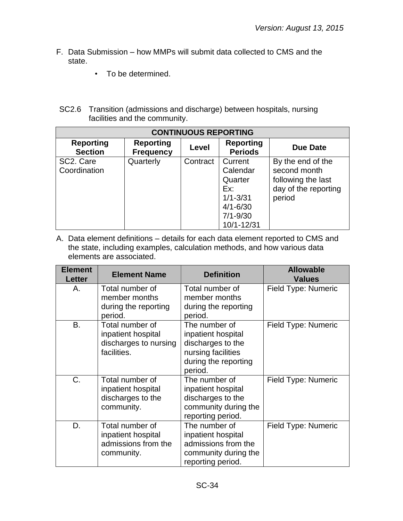- F. Data Submission how MMPs will submit data collected to CMS and the state.
	- To be determined.
- SC2.6 Transition (admissions and discharge) between hospitals, nursing facilities and the community.

| <b>CONTINUOUS REPORTING</b>        |                                      |              |                                                                                                     |                                                                                           |
|------------------------------------|--------------------------------------|--------------|-----------------------------------------------------------------------------------------------------|-------------------------------------------------------------------------------------------|
| <b>Reporting</b><br><b>Section</b> | <b>Reporting</b><br><b>Frequency</b> | <b>Level</b> | <b>Reporting</b><br><b>Periods</b>                                                                  | Due Date                                                                                  |
| SC2. Care<br>Coordination          | Quarterly                            | Contract     | Current<br>Calendar<br>Quarter<br>Ex:<br>$1/1 - 3/31$<br>$4/1 - 6/30$<br>$7/1 - 9/30$<br>10/1-12/31 | By the end of the<br>second month<br>following the last<br>day of the reporting<br>period |

| <b>Element</b><br><b>Letter</b> | <b>Element Name</b>                                                           | <b>Definition</b>                                                                                                 | <b>Allowable</b><br><b>Values</b> |
|---------------------------------|-------------------------------------------------------------------------------|-------------------------------------------------------------------------------------------------------------------|-----------------------------------|
| А.                              | Total number of<br>member months<br>during the reporting<br>period.           | Total number of<br>member months<br>during the reporting<br>period.                                               | Field Type: Numeric               |
| B.                              | Total number of<br>inpatient hospital<br>discharges to nursing<br>facilities. | The number of<br>inpatient hospital<br>discharges to the<br>nursing facilities<br>during the reporting<br>period. | Field Type: Numeric               |
| C.                              | Total number of<br>inpatient hospital<br>discharges to the<br>community.      | The number of<br>inpatient hospital<br>discharges to the<br>community during the<br>reporting period.             | Field Type: Numeric               |
| D.                              | Total number of<br>inpatient hospital<br>admissions from the<br>community.    | The number of<br>inpatient hospital<br>admissions from the<br>community during the<br>reporting period.           | Field Type: Numeric               |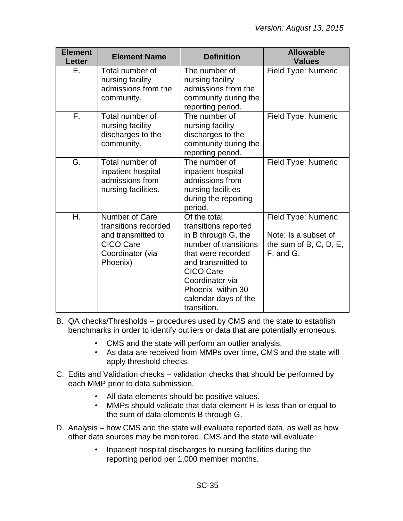| <b>Element</b><br><b>Letter</b> | <b>Element Name</b>                                                                                                     | <b>Definition</b>                                                                                                                                                                                                                   | <b>Allowable</b><br><b>Values</b>                                                     |
|---------------------------------|-------------------------------------------------------------------------------------------------------------------------|-------------------------------------------------------------------------------------------------------------------------------------------------------------------------------------------------------------------------------------|---------------------------------------------------------------------------------------|
| Е.                              | Total number of<br>nursing facility<br>admissions from the<br>community.                                                | The number of<br>nursing facility<br>admissions from the<br>community during the<br>reporting period.                                                                                                                               | Field Type: Numeric                                                                   |
| F.                              | Total number of<br>nursing facility<br>discharges to the<br>community.                                                  | The number of<br>nursing facility<br>discharges to the<br>community during the<br>reporting period.                                                                                                                                 | Field Type: Numeric                                                                   |
| G.                              | Total number of<br>inpatient hospital<br>admissions from<br>nursing facilities.                                         | The number of<br>inpatient hospital<br>admissions from<br>nursing facilities<br>during the reporting<br>period.                                                                                                                     | Field Type: Numeric                                                                   |
| Η.                              | <b>Number of Care</b><br>transitions recorded<br>and transmitted to<br><b>CICO Care</b><br>Coordinator (via<br>Phoenix) | Of the total<br>transitions reported<br>in B through G, the<br>number of transitions<br>that were recorded<br>and transmitted to<br><b>CICO Care</b><br>Coordinator via<br>Phoenix within 30<br>calendar days of the<br>transition. | Field Type: Numeric<br>Note: Is a subset of<br>the sum of $B, C, D, E$ ,<br>F, and G. |

- B. QA checks/Thresholds procedures used by CMS and the state to establish benchmarks in order to identify outliers or data that are potentially erroneous.
	- CMS and the state will perform an outlier analysis.
	- As data are received from MMPs over time, CMS and the state will apply threshold checks.
- C. Edits and Validation checks validation checks that should be performed by each MMP prior to data submission.
	- All data elements should be positive values.
	- MMPs should validate that data element H is less than or equal to the sum of data elements B through G.
- D. Analysis how CMS and the state will evaluate reported data, as well as how other data sources may be monitored. CMS and the state will evaluate:
	- Inpatient hospital discharges to nursing facilities during the reporting period per 1,000 member months.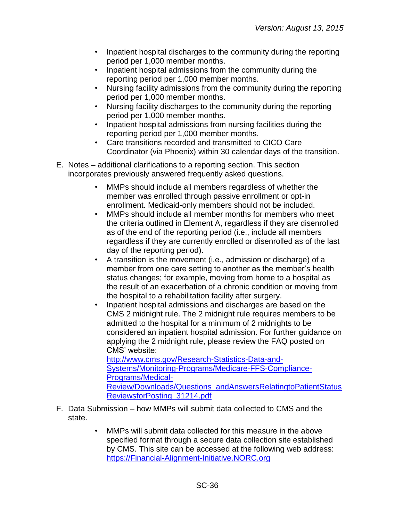- Inpatient hospital discharges to the community during the reporting period per 1,000 member months.
- Inpatient hospital admissions from the community during the reporting period per 1,000 member months.
- Nursing facility admissions from the community during the reporting period per 1,000 member months.
- Nursing facility discharges to the community during the reporting period per 1,000 member months.
- Inpatient hospital admissions from nursing facilities during the reporting period per 1,000 member months.
- Care transitions recorded and transmitted to CICO Care Coordinator (via Phoenix) within 30 calendar days of the transition.
- E. Notes additional clarifications to a reporting section. This section incorporates previously answered frequently asked questions.
	- MMPs should include all members regardless of whether the member was enrolled through passive enrollment or opt-in enrollment. Medicaid-only members should not be included.
	- MMPs should include all member months for members who meet the criteria outlined in Element A, regardless if they are disenrolled as of the end of the reporting period (i.e., include all members regardless if they are currently enrolled or disenrolled as of the last day of the reporting period).
	- A transition is the movement (i.e., admission or discharge) of a member from one care setting to another as the member's health status changes; for example, moving from home to a hospital as the result of an exacerbation of a chronic condition or moving from the hospital to a rehabilitation facility after surgery.
	- Inpatient hospital admissions and discharges are based on the CMS 2 midnight rule. The 2 midnight rule requires members to be admitted to the hospital for a minimum of 2 midnights to be considered an inpatient hospital admission. For further guidance on applying the 2 midnight rule, please review the FAQ posted on CMS' website: [http://www.cms.gov/Research-Statistics-Data-and-](http://www.cms.gov/Research-Statistics-Data-and-Systems/Monitoring-Programs/Medicare-FFS-Compliance-Programs/Medical-Review/Downloads/Questions_andAnswersRelatingtoPatientStatusReviewsforPosting_31214.pdf)[Systems/Monitoring-Programs/Medicare-FFS-Compliance-](http://www.cms.gov/Research-Statistics-Data-and-Systems/Monitoring-Programs/Medicare-FFS-Compliance-Programs/Medical-Review/Downloads/Questions_andAnswersRelatingtoPatientStatusReviewsforPosting_31214.pdf)

[Programs/Medical-](http://www.cms.gov/Research-Statistics-Data-and-Systems/Monitoring-Programs/Medicare-FFS-Compliance-Programs/Medical-Review/Downloads/Questions_andAnswersRelatingtoPatientStatusReviewsforPosting_31214.pdf)[Review/Downloads/Questions\\_andAnswersRelatingtoPatientStatus](http://www.cms.gov/Research-Statistics-Data-and-Systems/Monitoring-Programs/Medicare-FFS-Compliance-Programs/Medical-Review/Downloads/Questions_andAnswersRelatingtoPatientStatusReviewsforPosting_31214.pdf) [ReviewsforPosting\\_31214.pdf](http://www.cms.gov/Research-Statistics-Data-and-Systems/Monitoring-Programs/Medicare-FFS-Compliance-Programs/Medical-Review/Downloads/Questions_andAnswersRelatingtoPatientStatusReviewsforPosting_31214.pdf)

- F. Data Submission how MMPs will submit data collected to CMS and the state.
	- MMPs will submit data collected for this measure in the above specified format through a secure data collection site established by CMS. This site can be accessed at the following web address: [https://Financial-Alignment-Initiative.NORC.org](https://financial-alignment-initiative.norc.org/)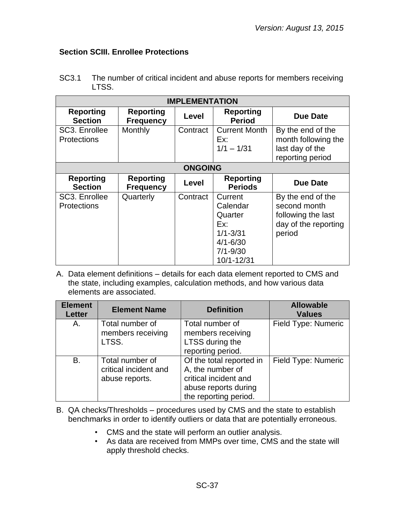# <span id="page-36-0"></span>**Section SCIII. Enrollee Protections**

| SC3.1 | The number of critical incident and abuse reports for members receiving |
|-------|-------------------------------------------------------------------------|
|       | LTSS.                                                                   |

| <b>IMPLEMENTATION</b>               |                                      |                |                                                                                                     |                                                                                           |
|-------------------------------------|--------------------------------------|----------------|-----------------------------------------------------------------------------------------------------|-------------------------------------------------------------------------------------------|
| <b>Reporting</b><br><b>Section</b>  | <b>Reporting</b><br><b>Frequency</b> | Level          | <b>Reporting</b><br><b>Period</b>                                                                   | <b>Due Date</b>                                                                           |
| SC3. Enrollee<br><b>Protections</b> | Monthly                              | Contract       | <b>Current Month</b><br>Ex:<br>$1/1 - 1/31$                                                         | By the end of the<br>month following the<br>last day of the<br>reporting period           |
|                                     |                                      | <b>ONGOING</b> |                                                                                                     |                                                                                           |
| <b>Reporting</b><br><b>Section</b>  | <b>Reporting</b><br><b>Frequency</b> | Level          | <b>Reporting</b><br><b>Periods</b>                                                                  | <b>Due Date</b>                                                                           |
| SC3. Enrollee<br><b>Protections</b> | Quarterly                            | Contract       | Current<br>Calendar<br>Quarter<br>Ex:<br>$1/1 - 3/31$<br>$4/1 - 6/30$<br>$7/1 - 9/30$<br>10/1-12/31 | By the end of the<br>second month<br>following the last<br>day of the reporting<br>period |

| <b>Element</b><br><b>Letter</b> | <b>Element Name</b>                                        | <b>Definition</b>                                                                                                      | <b>Allowable</b><br><b>Values</b> |
|---------------------------------|------------------------------------------------------------|------------------------------------------------------------------------------------------------------------------------|-----------------------------------|
| A.                              | Total number of<br>members receiving<br>LTSS.              | Total number of<br>members receiving<br>LTSS during the<br>reporting period.                                           | Field Type: Numeric               |
| B.                              | Total number of<br>critical incident and<br>abuse reports. | Of the total reported in<br>A, the number of<br>critical incident and<br>abuse reports during<br>the reporting period. | Field Type: Numeric               |

- B. QA checks/Thresholds procedures used by CMS and the state to establish benchmarks in order to identify outliers or data that are potentially erroneous.
	- CMS and the state will perform an outlier analysis.
	- As data are received from MMPs over time, CMS and the state will apply threshold checks.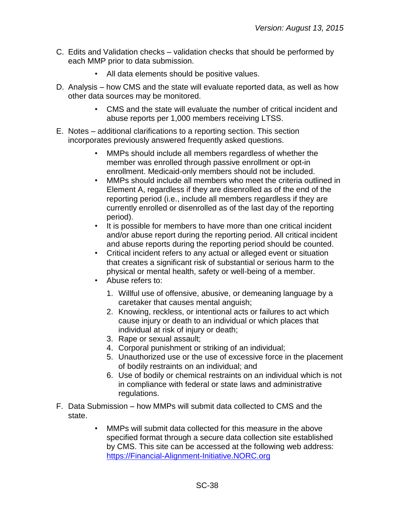- C. Edits and Validation checks validation checks that should be performed by each MMP prior to data submission.
	- All data elements should be positive values.
- D. Analysis how CMS and the state will evaluate reported data, as well as how other data sources may be monitored.
	- CMS and the state will evaluate the number of critical incident and abuse reports per 1,000 members receiving LTSS.
- E. Notes additional clarifications to a reporting section. This section incorporates previously answered frequently asked questions.
	- MMPs should include all members regardless of whether the member was enrolled through passive enrollment or opt-in enrollment. Medicaid-only members should not be included.
	- MMPs should include all members who meet the criteria outlined in Element A, regardless if they are disenrolled as of the end of the reporting period (i.e., include all members regardless if they are currently enrolled or disenrolled as of the last day of the reporting period).
	- It is possible for members to have more than one critical incident and/or abuse report during the reporting period. All critical incident and abuse reports during the reporting period should be counted.
	- Critical incident refers to any actual or alleged event or situation that creates a significant risk of substantial or serious harm to the physical or mental health, safety or well-being of a member.
	- Abuse refers to:
		- 1. Willful use of offensive, abusive, or demeaning language by a caretaker that causes mental anguish;
		- 2. Knowing, reckless, or intentional acts or failures to act which cause injury or death to an individual or which places that individual at risk of injury or death;
		- 3. Rape or sexual assault;
		- 4. Corporal punishment or striking of an individual;
		- 5. Unauthorized use or the use of excessive force in the placement of bodily restraints on an individual; and
		- 6. Use of bodily or chemical restraints on an individual which is not in compliance with federal or state laws and administrative regulations.
- F. Data Submission how MMPs will submit data collected to CMS and the state.
	- MMPs will submit data collected for this measure in the above specified format through a secure data collection site established by CMS. This site can be accessed at the following web address: [https://Financial-Alignment-Initiative.NORC.org](https://financial-alignment-initiative.norc.org/)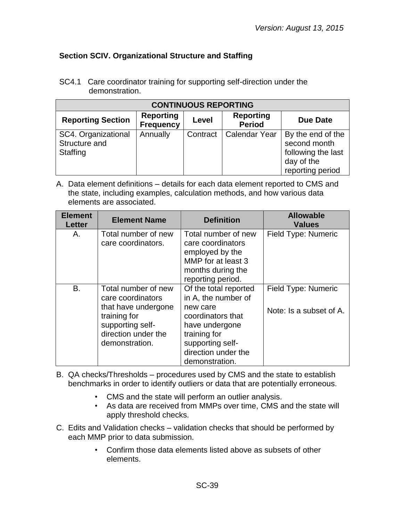# <span id="page-38-0"></span>**Section SCIV. Organizational Structure and Staffing**

SC4.1 Care coordinator training for supporting self-direction under the demonstration.

| <b>CONTINUOUS REPORTING</b>                      |                                      |          |                                   |                                                                                           |
|--------------------------------------------------|--------------------------------------|----------|-----------------------------------|-------------------------------------------------------------------------------------------|
| <b>Reporting Section</b>                         | <b>Reporting</b><br><b>Frequency</b> | Level    | <b>Reporting</b><br><b>Period</b> | <b>Due Date</b>                                                                           |
| SC4. Organizational<br>Structure and<br>Staffing | Annually                             | Contract | Calendar Year                     | By the end of the<br>second month<br>following the last<br>day of the<br>reporting period |

| <b>Element</b><br><b>Letter</b> | <b>Element Name</b>                                                                                                                          | <b>Definition</b>                                                                                                                                                            | <b>Allowable</b><br><b>Values</b>              |
|---------------------------------|----------------------------------------------------------------------------------------------------------------------------------------------|------------------------------------------------------------------------------------------------------------------------------------------------------------------------------|------------------------------------------------|
| Α.                              | Total number of new<br>care coordinators.                                                                                                    | Total number of new<br>care coordinators<br>employed by the<br>MMP for at least 3<br>months during the<br>reporting period.                                                  | Field Type: Numeric                            |
| B.                              | Total number of new<br>care coordinators<br>that have undergone<br>training for<br>supporting self-<br>direction under the<br>demonstration. | Of the total reported<br>in A, the number of<br>new care<br>coordinators that<br>have undergone<br>training for<br>supporting self-<br>direction under the<br>demonstration. | Field Type: Numeric<br>Note: Is a subset of A. |

- B. QA checks/Thresholds procedures used by CMS and the state to establish benchmarks in order to identify outliers or data that are potentially erroneous.
	- CMS and the state will perform an outlier analysis.
	- As data are received from MMPs over time, CMS and the state will apply threshold checks.
- C. Edits and Validation checks validation checks that should be performed by each MMP prior to data submission.
	- Confirm those data elements listed above as subsets of other elements.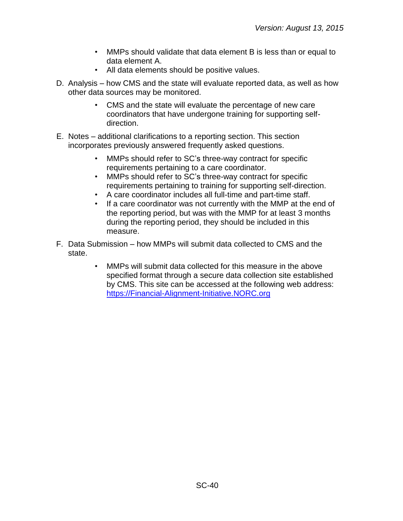- MMPs should validate that data element B is less than or equal to data element A.
- All data elements should be positive values.
- D. Analysis how CMS and the state will evaluate reported data, as well as how other data sources may be monitored.
	- CMS and the state will evaluate the percentage of new care coordinators that have undergone training for supporting selfdirection.
- E. Notes additional clarifications to a reporting section. This section incorporates previously answered frequently asked questions.
	- MMPs should refer to SC's three-way contract for specific requirements pertaining to a care coordinator.
	- MMPs should refer to SC's three-way contract for specific requirements pertaining to training for supporting self-direction.
	- A care coordinator includes all full-time and part-time staff.
	- If a care coordinator was not currently with the MMP at the end of the reporting period, but was with the MMP for at least 3 months during the reporting period, they should be included in this measure.
- F. Data Submission how MMPs will submit data collected to CMS and the state.
	- MMPs will submit data collected for this measure in the above specified format through a secure data collection site established by CMS. This site can be accessed at the following web address: [https://Financial-Alignment-Initiative.NORC.org](https://financial-alignment-initiative.norc.org/)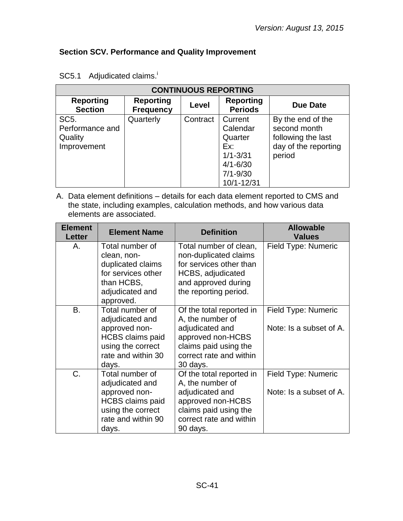# <span id="page-40-0"></span>**Section SCV. Performance and Quality Improvement**

| <b>CONTINUOUS REPORTING</b>        |                                      |          |                                    |                      |
|------------------------------------|--------------------------------------|----------|------------------------------------|----------------------|
| <b>Reporting</b><br><b>Section</b> | <b>Reporting</b><br><b>Frequency</b> | Level    | <b>Reporting</b><br><b>Periods</b> | <b>Due Date</b>      |
| SC <sub>5</sub> .                  | Quarterly                            | Contract | Current                            | By the end of the    |
| Performance and                    |                                      |          | Calendar                           | second month         |
| Quality                            |                                      |          | Quarter                            | following the last   |
| Improvement                        |                                      |          | Ex:                                | day of the reporting |
|                                    |                                      |          | $1/1 - 3/31$                       | period               |
|                                    |                                      |          | $4/1 - 6/30$                       |                      |
|                                    |                                      |          | $7/1 - 9/30$                       |                      |
|                                    |                                      |          | 10/1-12/31                         |                      |

# SC5.1 Adjudicated claims.<sup>i</sup>

| <b>Element</b><br><b>Letter</b> | <b>Element Name</b>                                                                                                                | <b>Definition</b>                                                                                                                                    | <b>Allowable</b><br><b>Values</b>              |
|---------------------------------|------------------------------------------------------------------------------------------------------------------------------------|------------------------------------------------------------------------------------------------------------------------------------------------------|------------------------------------------------|
| А.                              | Total number of<br>clean, non-<br>duplicated claims<br>for services other<br>than HCBS,<br>adjudicated and<br>approved.            | Total number of clean,<br>non-duplicated claims<br>for services other than<br>HCBS, adjudicated<br>and approved during<br>the reporting period.      | Field Type: Numeric                            |
| B.                              | Total number of<br>adjudicated and<br>approved non-<br><b>HCBS</b> claims paid<br>using the correct<br>rate and within 30<br>days. | Of the total reported in<br>A, the number of<br>adjudicated and<br>approved non-HCBS<br>claims paid using the<br>correct rate and within<br>30 days. | Field Type: Numeric<br>Note: Is a subset of A. |
| C.                              | Total number of<br>adjudicated and<br>approved non-<br><b>HCBS</b> claims paid<br>using the correct<br>rate and within 90<br>days. | Of the total reported in<br>A, the number of<br>adjudicated and<br>approved non-HCBS<br>claims paid using the<br>correct rate and within<br>90 days. | Field Type: Numeric<br>Note: Is a subset of A. |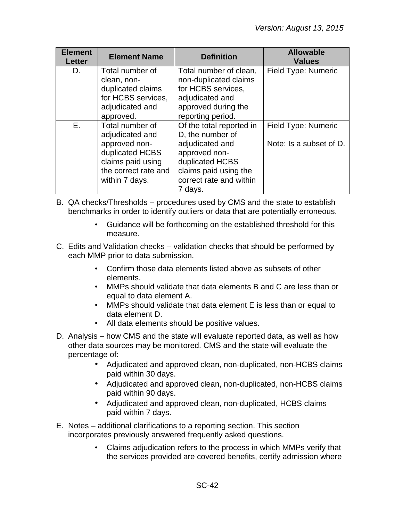| <b>Element</b><br><b>Letter</b> | <b>Element Name</b>  | <b>Definition</b>        | <b>Allowable</b><br><b>Values</b> |
|---------------------------------|----------------------|--------------------------|-----------------------------------|
| D.                              | Total number of      | Total number of clean,   | Field Type: Numeric               |
|                                 | clean, non-          | non-duplicated claims    |                                   |
|                                 | duplicated claims    | for HCBS services,       |                                   |
|                                 | for HCBS services,   | adjudicated and          |                                   |
|                                 | adjudicated and      | approved during the      |                                   |
|                                 | approved.            | reporting period.        |                                   |
| Е.                              | Total number of      | Of the total reported in | Field Type: Numeric               |
|                                 | adjudicated and      | D, the number of         |                                   |
|                                 | approved non-        | adjudicated and          | Note: Is a subset of D.           |
|                                 | duplicated HCBS      | approved non-            |                                   |
|                                 | claims paid using    | duplicated HCBS          |                                   |
|                                 | the correct rate and | claims paid using the    |                                   |
|                                 | within 7 days.       | correct rate and within  |                                   |
|                                 |                      | 7 days.                  |                                   |

- B. QA checks/Thresholds procedures used by CMS and the state to establish benchmarks in order to identify outliers or data that are potentially erroneous.
	- Guidance will be forthcoming on the established threshold for this measure.
- C. Edits and Validation checks validation checks that should be performed by each MMP prior to data submission.
	- Confirm those data elements listed above as subsets of other elements.
	- MMPs should validate that data elements B and C are less than or equal to data element A.
	- MMPs should validate that data element E is less than or equal to data element D.
	- All data elements should be positive values.
- D. Analysis how CMS and the state will evaluate reported data, as well as how other data sources may be monitored. CMS and the state will evaluate the percentage of:
	- Adjudicated and approved clean, non-duplicated, non-HCBS claims paid within 30 days.
	- Adjudicated and approved clean, non-duplicated, non-HCBS claims paid within 90 days.
	- Adjudicated and approved clean, non-duplicated, HCBS claims paid within 7 days.
- E. Notes additional clarifications to a reporting section. This section incorporates previously answered frequently asked questions.
	- Claims adjudication refers to the process in which MMPs verify that the services provided are covered benefits, certify admission where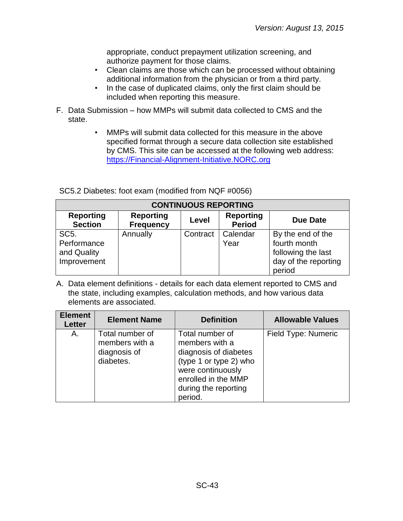appropriate, conduct prepayment utilization screening, and authorize payment for those claims.

- Clean claims are those which can be processed without obtaining additional information from the physician or from a third party.
- In the case of duplicated claims, only the first claim should be included when reporting this measure.
- F. Data Submission how MMPs will submit data collected to CMS and the state.
	- MMPs will submit data collected for this measure in the above specified format through a secure data collection site established by CMS. This site can be accessed at the following web address: [https://Financial-Alignment-Initiative.NORC.org](https://financial-alignment-initiative.norc.org/)

| <b>CONTINUOUS REPORTING</b>                                    |                                      |              |                                   |                                                                                           |
|----------------------------------------------------------------|--------------------------------------|--------------|-----------------------------------|-------------------------------------------------------------------------------------------|
| <b>Reporting</b><br><b>Section</b>                             | <b>Reporting</b><br><b>Frequency</b> | <b>Level</b> | <b>Reporting</b><br><b>Period</b> | <b>Due Date</b>                                                                           |
| SC <sub>5</sub> .<br>Performance<br>and Quality<br>Improvement | Annually                             | Contract     | Calendar<br>Year                  | By the end of the<br>fourth month<br>following the last<br>day of the reporting<br>period |

SC5.2 Diabetes: foot exam (modified from NQF #0056)

| <b>Element</b><br><b>Letter</b> | <b>Element Name</b>                                            | <b>Definition</b>                                                                                                                                                   | <b>Allowable Values</b> |
|---------------------------------|----------------------------------------------------------------|---------------------------------------------------------------------------------------------------------------------------------------------------------------------|-------------------------|
| Α.                              | Total number of<br>members with a<br>diagnosis of<br>diabetes. | Total number of<br>members with a<br>diagnosis of diabetes<br>(type 1 or type 2) who<br>were continuously<br>enrolled in the MMP<br>during the reporting<br>period. | Field Type: Numeric     |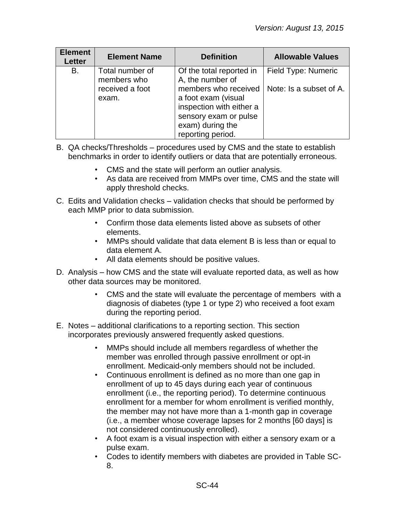| <b>Element</b><br>Letter | <b>Element Name</b>            | <b>Definition</b>                                                                                                                         | <b>Allowable Values</b> |
|--------------------------|--------------------------------|-------------------------------------------------------------------------------------------------------------------------------------------|-------------------------|
| B.                       | Total number of<br>members who | Of the total reported in<br>A, the number of                                                                                              | Field Type: Numeric     |
|                          | received a foot<br>exam.       | members who received<br>a foot exam (visual<br>inspection with either a<br>sensory exam or pulse<br>exam) during the<br>reporting period. | Note: Is a subset of A. |

- B. QA checks/Thresholds procedures used by CMS and the state to establish benchmarks in order to identify outliers or data that are potentially erroneous.
	- CMS and the state will perform an outlier analysis.
	- As data are received from MMPs over time, CMS and the state will apply threshold checks.
- C. Edits and Validation checks validation checks that should be performed by each MMP prior to data submission.
	- Confirm those data elements listed above as subsets of other elements.
	- MMPs should validate that data element B is less than or equal to data element A.
	- All data elements should be positive values.
- D. Analysis how CMS and the state will evaluate reported data, as well as how other data sources may be monitored.
	- CMS and the state will evaluate the percentage of members with a diagnosis of diabetes (type 1 or type 2) who received a foot exam during the reporting period.
- E. Notes additional clarifications to a reporting section. This section incorporates previously answered frequently asked questions.
	- MMPs should include all members regardless of whether the member was enrolled through passive enrollment or opt-in enrollment. Medicaid-only members should not be included.
	- Continuous enrollment is defined as no more than one gap in enrollment of up to 45 days during each year of continuous enrollment (i.e., the reporting period). To determine continuous enrollment for a member for whom enrollment is verified monthly, the member may not have more than a 1-month gap in coverage (i.e., a member whose coverage lapses for 2 months [60 days] is not considered continuously enrolled).
	- A foot exam is a visual inspection with either a sensory exam or a pulse exam.
	- Codes to identify members with diabetes are provided in Table SC-8.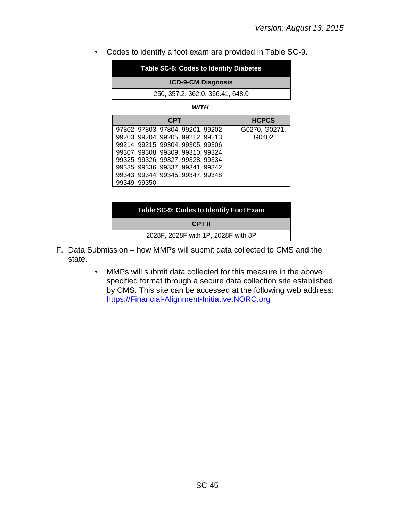• Codes to identify a foot exam are provided in Table SC-9.

| Table SC-8: Codes to Identify Diabetes |  |
|----------------------------------------|--|
| <b>ICD-9-CM Diagnosis</b>              |  |
| 250, 357.2, 362.0, 366.41, 648.0       |  |
| WITH                                   |  |

| <b>CPT</b>                         | <b>HCPCS</b>  |
|------------------------------------|---------------|
| 97802, 97803, 97804, 99201, 99202, | G0270, G0271, |
| 99203, 99204, 99205, 99212, 99213, | G0402         |
| 99214, 99215, 99304, 99305, 99306, |               |
| 99307, 99308, 99309, 99310, 99324, |               |
| 99325, 99326, 99327, 99328, 99334, |               |
| 99335, 99336, 99337, 99341, 99342, |               |
| 99343, 99344, 99345, 99347, 99348, |               |
| 99349, 99350,                      |               |

| Table SC-9: Codes to Identify Foot Exam |  |  |
|-----------------------------------------|--|--|
| CPT II                                  |  |  |
| 2028F, 2028F with 1P, 2028F with 8P     |  |  |

- F. Data Submission how MMPs will submit data collected to CMS and the state.
	- MMPs will submit data collected for this measure in the above specified format through a secure data collection site established by CMS. This site can be accessed at the following web address: [https://Financial-Alignment-Initiative.NORC.org](https://financial-alignment-initiative.norc.org/)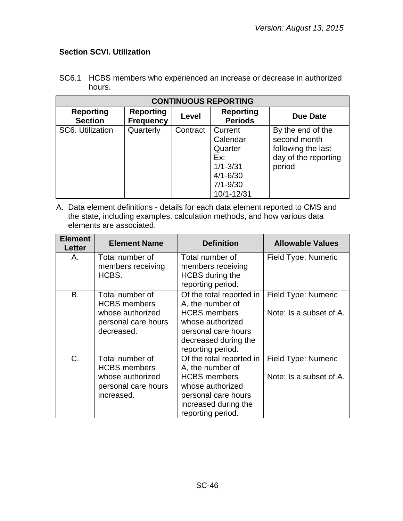# <span id="page-45-0"></span>**Section SCVI. Utilization**

| <b>CONTINUOUS REPORTING</b>        |                                      |          |                                                                                                     |                                                                                           |  |
|------------------------------------|--------------------------------------|----------|-----------------------------------------------------------------------------------------------------|-------------------------------------------------------------------------------------------|--|
| <b>Reporting</b><br><b>Section</b> | <b>Reporting</b><br><b>Frequency</b> | Level    | <b>Reporting</b><br><b>Periods</b>                                                                  | Due Date                                                                                  |  |
| SC6. Utilization                   | Quarterly                            | Contract | Current<br>Calendar<br>Quarter<br>Ex:<br>$1/1 - 3/31$<br>$4/1 - 6/30$<br>$7/1 - 9/30$<br>10/1-12/31 | By the end of the<br>second month<br>following the last<br>day of the reporting<br>period |  |

SC6.1 HCBS members who experienced an increase or decrease in authorized hours.

| <b>Element</b><br>Letter | <b>Element Name</b>                                                                             | <b>Definition</b>                                                                                                                                           | <b>Allowable Values</b>                        |
|--------------------------|-------------------------------------------------------------------------------------------------|-------------------------------------------------------------------------------------------------------------------------------------------------------------|------------------------------------------------|
| Α.                       | Total number of<br>members receiving<br>HCBS.                                                   | Total number of<br>members receiving<br><b>HCBS</b> during the<br>reporting period.                                                                         | Field Type: Numeric                            |
| <b>B.</b>                | Total number of<br><b>HCBS</b> members<br>whose authorized<br>personal care hours<br>decreased. | Of the total reported in<br>A, the number of<br><b>HCBS</b> members<br>whose authorized<br>personal care hours<br>decreased during the<br>reporting period. | Field Type: Numeric<br>Note: Is a subset of A. |
| C.                       | Total number of<br><b>HCBS</b> members<br>whose authorized<br>personal care hours<br>increased. | Of the total reported in<br>A, the number of<br><b>HCBS</b> members<br>whose authorized<br>personal care hours<br>increased during the<br>reporting period. | Field Type: Numeric<br>Note: Is a subset of A. |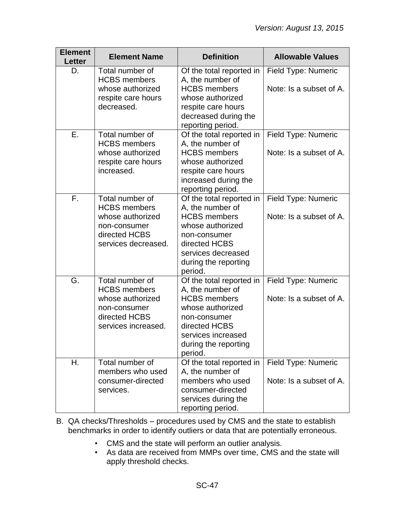| <b>Element</b><br><b>Letter</b> | <b>Element Name</b>                                                                                                | <b>Definition</b>                                                                                                                                                                 | <b>Allowable Values</b>                        |
|---------------------------------|--------------------------------------------------------------------------------------------------------------------|-----------------------------------------------------------------------------------------------------------------------------------------------------------------------------------|------------------------------------------------|
| D.                              | Total number of<br><b>HCBS</b> members<br>whose authorized<br>respite care hours<br>decreased.                     | Of the total reported in<br>A, the number of<br><b>HCBS</b> members<br>whose authorized<br>respite care hours<br>decreased during the<br>reporting period.                        | Field Type: Numeric<br>Note: Is a subset of A. |
| Ε.                              | Total number of<br><b>HCBS</b> members<br>whose authorized<br>respite care hours<br>increased.                     | Of the total reported in<br>A, the number of<br><b>HCBS</b> members<br>whose authorized<br>respite care hours<br>increased during the<br>reporting period.                        | Field Type: Numeric<br>Note: Is a subset of A. |
| F.                              | Total number of<br><b>HCBS</b> members<br>whose authorized<br>non-consumer<br>directed HCBS<br>services decreased. | Of the total reported in<br>A, the number of<br><b>HCBS</b> members<br>whose authorized<br>non-consumer<br>directed HCBS<br>services decreased<br>during the reporting<br>period. | Field Type: Numeric<br>Note: Is a subset of A. |
| G.                              | Total number of<br><b>HCBS</b> members<br>whose authorized<br>non-consumer<br>directed HCBS<br>services increased. | Of the total reported in<br>A, the number of<br><b>HCBS</b> members<br>whose authorized<br>non-consumer<br>directed HCBS<br>services increased<br>during the reporting<br>period. | Field Type: Numeric<br>Note: Is a subset of A. |
| Η.                              | Total number of<br>members who used<br>consumer-directed<br>services.                                              | Of the total reported in<br>A, the number of<br>members who used<br>consumer-directed<br>services during the<br>reporting period.                                                 | Field Type: Numeric<br>Note: Is a subset of A. |

- B. QA checks/Thresholds procedures used by CMS and the state to establish benchmarks in order to identify outliers or data that are potentially erroneous.
	- CMS and the state will perform an outlier analysis.
	- As data are received from MMPs over time, CMS and the state will apply threshold checks.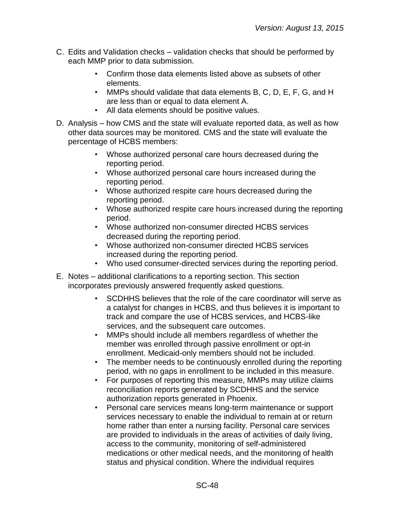- C. Edits and Validation checks validation checks that should be performed by each MMP prior to data submission.
	- Confirm those data elements listed above as subsets of other elements.
	- MMPs should validate that data elements B, C, D, E, F, G, and H are less than or equal to data element A.
	- All data elements should be positive values.
- D. Analysis how CMS and the state will evaluate reported data, as well as how other data sources may be monitored. CMS and the state will evaluate the percentage of HCBS members:
	- Whose authorized personal care hours decreased during the reporting period.
	- Whose authorized personal care hours increased during the reporting period.
	- Whose authorized respite care hours decreased during the reporting period.
	- Whose authorized respite care hours increased during the reporting period.
	- Whose authorized non-consumer directed HCBS services decreased during the reporting period.
	- Whose authorized non-consumer directed HCBS services increased during the reporting period.
	- Who used consumer-directed services during the reporting period.
- E. Notes additional clarifications to a reporting section. This section incorporates previously answered frequently asked questions.
	- SCDHHS believes that the role of the care coordinator will serve as a catalyst for changes in HCBS, and thus believes it is important to track and compare the use of HCBS services, and HCBS-like services, and the subsequent care outcomes.
	- MMPs should include all members regardless of whether the member was enrolled through passive enrollment or opt-in enrollment. Medicaid-only members should not be included.
	- The member needs to be continuously enrolled during the reporting period, with no gaps in enrollment to be included in this measure.
	- For purposes of reporting this measure, MMPs may utilize claims reconciliation reports generated by SCDHHS and the service authorization reports generated in Phoenix.
	- Personal care services means long-term maintenance or support services necessary to enable the individual to remain at or return home rather than enter a nursing facility. Personal care services are provided to individuals in the areas of activities of daily living, access to the community, monitoring of self-administered medications or other medical needs, and the monitoring of health status and physical condition. Where the individual requires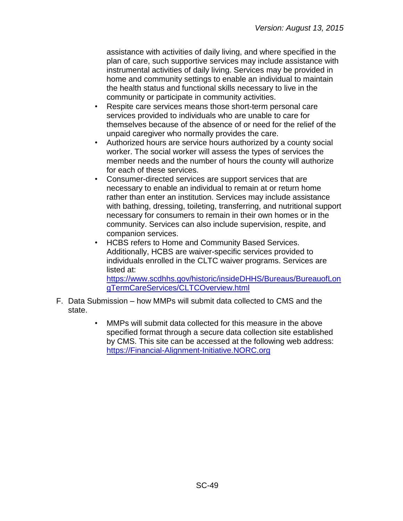assistance with activities of daily living, and where specified in the plan of care, such supportive services may include assistance with instrumental activities of daily living. Services may be provided in home and community settings to enable an individual to maintain the health status and functional skills necessary to live in the community or participate in community activities.

- Respite care services means those short-term personal care services provided to individuals who are unable to care for themselves because of the absence of or need for the relief of the unpaid caregiver who normally provides the care.
- Authorized hours are service hours authorized by a county social worker. The social worker will assess the types of services the member needs and the number of hours the county will authorize for each of these services.
- Consumer-directed services are support services that are necessary to enable an individual to remain at or return home rather than enter an institution. Services may include assistance with bathing, dressing, toileting, transferring, and nutritional support necessary for consumers to remain in their own homes or in the community. Services can also include supervision, respite, and companion services.
- HCBS refers to Home and Community Based Services. Additionally, HCBS are waiver-specific services provided to individuals enrolled in the CLTC waiver programs. Services are listed at:

[https://www.scdhhs.gov/historic/insideDHHS/Bureaus/BureauofLon](https://www.scdhhs.gov/historic/insideDHHS/Bureaus/BureauofLongTermCareServices/CLTCOverview.html) [gTermCareServices/CLTCOverview.html](https://www.scdhhs.gov/historic/insideDHHS/Bureaus/BureauofLongTermCareServices/CLTCOverview.html)

- F. Data Submission how MMPs will submit data collected to CMS and the state.
	- MMPs will submit data collected for this measure in the above specified format through a secure data collection site established by CMS. This site can be accessed at the following web address: [https://Financial-Alignment-Initiative.NORC.org](https://financial-alignment-initiative.norc.org/)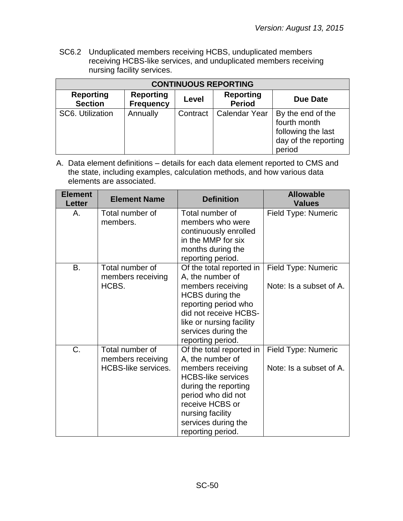SC6.2 Unduplicated members receiving HCBS, unduplicated members receiving HCBS-like services, and unduplicated members receiving nursing facility services.

| <b>CONTINUOUS REPORTING</b>        |                                      |                                   |                      |                                                                                           |  |  |
|------------------------------------|--------------------------------------|-----------------------------------|----------------------|-------------------------------------------------------------------------------------------|--|--|
| <b>Reporting</b><br><b>Section</b> | <b>Reporting</b><br><b>Frequency</b> | <b>Reporting</b><br><b>Period</b> | Due Date             |                                                                                           |  |  |
| SC6. Utilization                   | Annually                             | Contract                          | <b>Calendar Year</b> | By the end of the<br>fourth month<br>following the last<br>day of the reporting<br>period |  |  |

| <b>Element</b><br><b>Letter</b> | <b>Element Name</b>                                                | <b>Definition</b>                                                                                                                                                                                                               | <b>Allowable</b><br><b>Values</b>              |
|---------------------------------|--------------------------------------------------------------------|---------------------------------------------------------------------------------------------------------------------------------------------------------------------------------------------------------------------------------|------------------------------------------------|
| Α.                              | Total number of<br>members.                                        | Total number of<br>members who were<br>continuously enrolled<br>in the MMP for six<br>months during the<br>reporting period.                                                                                                    | Field Type: Numeric                            |
| B.                              | Total number of<br>members receiving<br>HCBS.                      | Of the total reported in<br>A, the number of<br>members receiving<br>HCBS during the<br>reporting period who<br>did not receive HCBS-<br>like or nursing facility<br>services during the<br>reporting period.                   | Field Type: Numeric<br>Note: Is a subset of A. |
| C.                              | Total number of<br>members receiving<br><b>HCBS-like services.</b> | Of the total reported in<br>A, the number of<br>members receiving<br><b>HCBS-like services</b><br>during the reporting<br>period who did not<br>receive HCBS or<br>nursing facility<br>services during the<br>reporting period. | Field Type: Numeric<br>Note: Is a subset of A. |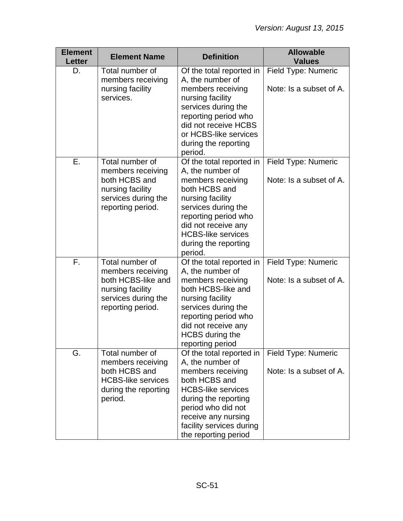| <b>Element</b><br><b>Letter</b> | <b>Element Name</b>                                                                                                        | <b>Definition</b>                                                                                                                                                                                                                            | <b>Allowable</b><br><b>Values</b>              |
|---------------------------------|----------------------------------------------------------------------------------------------------------------------------|----------------------------------------------------------------------------------------------------------------------------------------------------------------------------------------------------------------------------------------------|------------------------------------------------|
| D.                              | Total number of<br>members receiving<br>nursing facility<br>services.                                                      | Of the total reported in<br>A, the number of<br>members receiving<br>nursing facility<br>services during the<br>reporting period who<br>did not receive HCBS<br>or HCBS-like services<br>during the reporting<br>period.                     | Field Type: Numeric<br>Note: Is a subset of A. |
| Ε.                              | Total number of<br>members receiving<br>both HCBS and<br>nursing facility<br>services during the<br>reporting period.      | Of the total reported in<br>A, the number of<br>members receiving<br>both HCBS and<br>nursing facility<br>services during the<br>reporting period who<br>did not receive any<br><b>HCBS-like services</b><br>during the reporting<br>period. | Field Type: Numeric<br>Note: Is a subset of A. |
| F.                              | Total number of<br>members receiving<br>both HCBS-like and<br>nursing facility<br>services during the<br>reporting period. | Of the total reported in<br>A, the number of<br>members receiving<br>both HCBS-like and<br>nursing facility<br>services during the<br>reporting period who<br>did not receive any<br><b>HCBS</b> during the<br>reporting period              | Field Type: Numeric<br>Note: Is a subset of A. |
| G.                              | Total number of<br>members receiving<br>both HCBS and<br><b>HCBS-like services</b><br>during the reporting<br>period.      | Of the total reported in<br>A, the number of<br>members receiving<br>both HCBS and<br><b>HCBS-like services</b><br>during the reporting<br>period who did not<br>receive any nursing<br>facility services during<br>the reporting period     | Field Type: Numeric<br>Note: Is a subset of A. |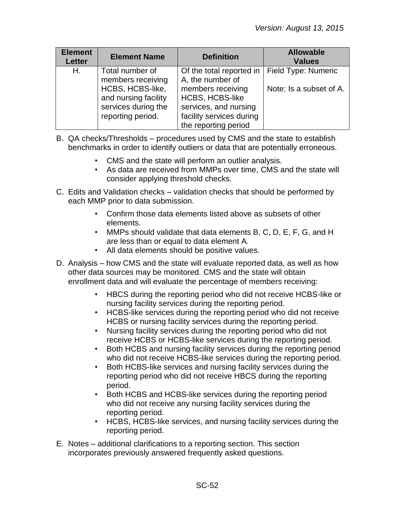| <b>Element</b><br><b>Letter</b> | <b>Element Name</b>                                              | <b>Definition</b>                                                                                   | <b>Allowable</b><br><b>Values</b>              |
|---------------------------------|------------------------------------------------------------------|-----------------------------------------------------------------------------------------------------|------------------------------------------------|
| Η.                              | Total number of<br>members receiving<br>HCBS, HCBS-like,         | Of the total reported in<br>A, the number of<br>members receiving                                   | Field Type: Numeric<br>Note: Is a subset of A. |
|                                 | and nursing facility<br>services during the<br>reporting period. | <b>HCBS, HCBS-like</b><br>services, and nursing<br>facility services during<br>the reporting period |                                                |

- B. QA checks/Thresholds procedures used by CMS and the state to establish benchmarks in order to identify outliers or data that are potentially erroneous.
	- CMS and the state will perform an outlier analysis.
	- As data are received from MMPs over time, CMS and the state will consider applying threshold checks.
- C. Edits and Validation checks validation checks that should be performed by each MMP prior to data submission.
	- Confirm those data elements listed above as subsets of other elements.
	- MMPs should validate that data elements B, C, D, E, F, G, and H are less than or equal to data element A.
	- All data elements should be positive values.
- D. Analysis how CMS and the state will evaluate reported data, as well as how other data sources may be monitored. CMS and the state will obtain enrollment data and will evaluate the percentage of members receiving:
	- HBCS during the reporting period who did not receive HCBS-like or nursing facility services during the reporting period.
	- HCBS-like services during the reporting period who did not receive HCBS or nursing facility services during the reporting period.
	- Nursing facility services during the reporting period who did not receive HCBS or HCBS-like services during the reporting period.
	- Both HCBS and nursing facility services during the reporting period who did not receive HCBS-like services during the reporting period.
	- Both HCBS-like services and nursing facility services during the reporting period who did not receive HBCS during the reporting period.
	- Both HCBS and HCBS-like services during the reporting period who did not receive any nursing facility services during the reporting period.
	- HCBS, HCBS-like services, and nursing facility services during the reporting period.
- E. Notes additional clarifications to a reporting section. This section incorporates previously answered frequently asked questions.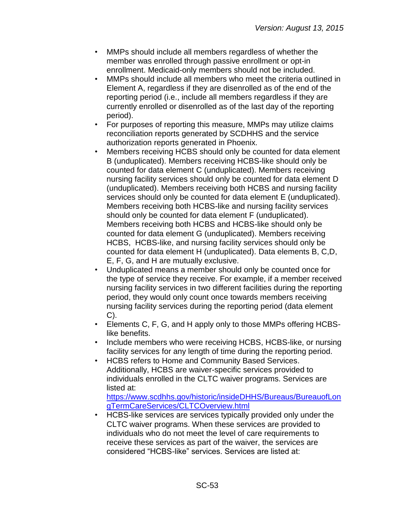- MMPs should include all members regardless of whether the member was enrolled through passive enrollment or opt-in enrollment. Medicaid-only members should not be included.
- MMPs should include all members who meet the criteria outlined in Element A, regardless if they are disenrolled as of the end of the reporting period (i.e., include all members regardless if they are currently enrolled or disenrolled as of the last day of the reporting period).
- For purposes of reporting this measure, MMPs may utilize claims reconciliation reports generated by SCDHHS and the service authorization reports generated in Phoenix.
- Members receiving HCBS should only be counted for data element B (unduplicated). Members receiving HCBS-like should only be counted for data element C (unduplicated). Members receiving nursing facility services should only be counted for data element D (unduplicated). Members receiving both HCBS and nursing facility services should only be counted for data element E (unduplicated). Members receiving both HCBS-like and nursing facility services should only be counted for data element F (unduplicated). Members receiving both HCBS and HCBS-like should only be counted for data element G (unduplicated). Members receiving HCBS, HCBS-like, and nursing facility services should only be counted for data element H (unduplicated). Data elements B, C,D, E, F, G, and H are mutually exclusive.
- Unduplicated means a member should only be counted once for the type of service they receive. For example, if a member received nursing facility services in two different facilities during the reporting period, they would only count once towards members receiving nursing facility services during the reporting period (data element C).
- Elements C, F, G, and H apply only to those MMPs offering HCBSlike benefits.
- Include members who were receiving HCBS, HCBS-like, or nursing facility services for any length of time during the reporting period.
- HCBS refers to Home and Community Based Services. Additionally, HCBS are waiver-specific services provided to individuals enrolled in the CLTC waiver programs. Services are listed at:

[https://www.scdhhs.gov/historic/insideDHHS/Bureaus/BureauofLon](https://www.scdhhs.gov/historic/insideDHHS/Bureaus/BureauofLongTermCareServices/CLTCOverview.html) [gTermCareServices/CLTCOverview.html](https://www.scdhhs.gov/historic/insideDHHS/Bureaus/BureauofLongTermCareServices/CLTCOverview.html)

• HCBS-like services are services typically provided only under the CLTC waiver programs. When these services are provided to individuals who do not meet the level of care requirements to receive these services as part of the waiver, the services are considered "HCBS-like" services. Services are listed at: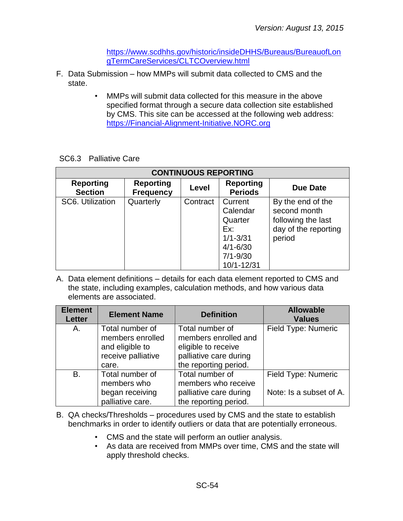[https://www.scdhhs.gov/historic/insideDHHS/Bureaus/BureauofLon](https://www.scdhhs.gov/historic/insideDHHS/Bureaus/BureauofLongTermCareServices/CLTCOverview.html) [gTermCareServices/CLTCOverview.html](https://www.scdhhs.gov/historic/insideDHHS/Bureaus/BureauofLongTermCareServices/CLTCOverview.html)

- F. Data Submission how MMPs will submit data collected to CMS and the state.
	- MMPs will submit data collected for this measure in the above specified format through a secure data collection site established by CMS. This site can be accessed at the following web address: [https://Financial-Alignment-Initiative.NORC.org](https://financial-alignment-initiative.norc.org/)

| <b>CONTINUOUS REPORTING</b>        |                                      |              |                                                                                                     |                                                                                           |  |  |  |
|------------------------------------|--------------------------------------|--------------|-----------------------------------------------------------------------------------------------------|-------------------------------------------------------------------------------------------|--|--|--|
| <b>Reporting</b><br><b>Section</b> | <b>Reporting</b><br><b>Frequency</b> | <b>Level</b> | <b>Reporting</b><br><b>Periods</b>                                                                  | <b>Due Date</b>                                                                           |  |  |  |
| SC6. Utilization                   | Quarterly                            | Contract     | Current<br>Calendar<br>Quarter<br>Ex:<br>$1/1 - 3/31$<br>$4/1 - 6/30$<br>$7/1 - 9/30$<br>10/1-12/31 | By the end of the<br>second month<br>following the last<br>day of the reporting<br>period |  |  |  |

| <b>Element</b><br><b>Letter</b> | <b>Element Name</b>                                                                   | <b>Definition</b>                                                                                                 | <b>Allowable</b><br><b>Values</b>              |
|---------------------------------|---------------------------------------------------------------------------------------|-------------------------------------------------------------------------------------------------------------------|------------------------------------------------|
| A.                              | Total number of<br>members enrolled<br>and eligible to<br>receive palliative<br>care. | Total number of<br>members enrolled and<br>eligible to receive<br>palliative care during<br>the reporting period. | Field Type: Numeric                            |
| <b>B.</b>                       | Total number of<br>members who<br>began receiving<br>palliative care.                 | Total number of<br>members who receive<br>palliative care during<br>the reporting period.                         | Field Type: Numeric<br>Note: Is a subset of A. |

- B. QA checks/Thresholds procedures used by CMS and the state to establish benchmarks in order to identify outliers or data that are potentially erroneous.
	- CMS and the state will perform an outlier analysis.
	- As data are received from MMPs over time, CMS and the state will apply threshold checks.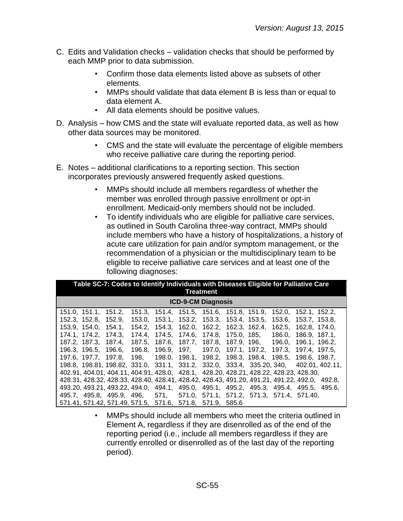- C. Edits and Validation checks validation checks that should be performed by each MMP prior to data submission.
	- Confirm those data elements listed above as subsets of other elements.
	- MMPs should validate that data element B is less than or equal to data element A.
	- All data elements should be positive values.
- D. Analysis how CMS and the state will evaluate reported data, as well as how other data sources may be monitored.
	- CMS and the state will evaluate the percentage of eligible members who receive palliative care during the reporting period.
- E. Notes additional clarifications to a reporting section. This section incorporates previously answered frequently asked questions.
	- MMPs should include all members regardless of whether the member was enrolled through passive enrollment or opt-in enrollment. Medicaid-only members should not be included.
	- To identify individuals who are eligible for palliative care services, as outlined in South Carolina three-way contract, MMPs should include members who have a history of hospitalizations, a history of acute care utilization for pain and/or symptom management, or the recommendation of a physician or the multidisciplinary team to be eligible to receive palliative care services and at least one of the following diagnoses:

| Table SC-7: Codes to Identify Individuals with Diseases Eligible for Palliative Care<br>Treatment |                                                                |  |  |  |  |  |
|---------------------------------------------------------------------------------------------------|----------------------------------------------------------------|--|--|--|--|--|
| <b>ICD-9-CM Diagnosis</b>                                                                         |                                                                |  |  |  |  |  |
| 151.0, 151.1, 151.2,                                                                              | 151.3, 151.4, 151.5, 151.6, 151.8, 151.9, 152.0, 152.1, 152.2, |  |  |  |  |  |
| 152.3, 152.8, 152.9,                                                                              | 153.0, 153.1, 153.2, 153.3, 153.4, 153.5, 153.6, 153.7, 153.8, |  |  |  |  |  |
| 153.9, 154.0, 154.1, 154.2, 154.3, 162.0, 162.2, 162.3, 162.4, 162.5, 162.8, 174.0,               |                                                                |  |  |  |  |  |
| 174.1, 174.2, 174.3, 174.4, 174.5, 174.6, 174.8, 175.0, 185, 186.0, 186.9, 187.1,                 |                                                                |  |  |  |  |  |
| 187.2, 187.3, 187.4, 187.5, 187.6, 187.7, 187.8, 187.9, 196, 196.0, 196.1, 196.2,                 |                                                                |  |  |  |  |  |
| 196.3, 196.5, 196.6, 196.8, 196.9, 197, 197.0, 197.1, 197.2, 197.3, 197.4, 197.5,                 |                                                                |  |  |  |  |  |
| 197.6, 197.7, 197.8, 198, 198.0, 198.1, 198.2, 198.3, 198.4, 198.5, 198.6, 198.7,                 |                                                                |  |  |  |  |  |
| 198.8, 198.81, 198.82, 331.0, 331.1, 331.2, 332.0, 333.4, 335.20, 340, 402.01, 402.11,            |                                                                |  |  |  |  |  |
| 402.91, 404.01, 404.11, 404.91, 428.0, 428.1, 428.20, 428.21, 428.22, 428.23, 428.30,             |                                                                |  |  |  |  |  |
| 428.31, 428.32, 428.33, 428.40, 428.41, 428.42, 428.43, 491.20, 491.21, 491.22, 492.0, 492.8,     |                                                                |  |  |  |  |  |
| 493.20, 493.21, 493.22, 494.0, 494.1, 495.0, 495.1, 495.2, 495.3, 495.4, 495.5, 495.6,            |                                                                |  |  |  |  |  |
| 495.7, 495.8, 495.9, 496, 571, 571.0, 571.1, 571.2, 571.3, 571.4, 571.40,                         |                                                                |  |  |  |  |  |
| 571.41, 571.42, 571.49, 571.5, 571.6, 571.8, 571.9, 585.6                                         |                                                                |  |  |  |  |  |

• MMPs should include all members who meet the criteria outlined in Element A, regardless if they are disenrolled as of the end of the reporting period (i.e., include all members regardless if they are currently enrolled or disenrolled as of the last day of the reporting period).